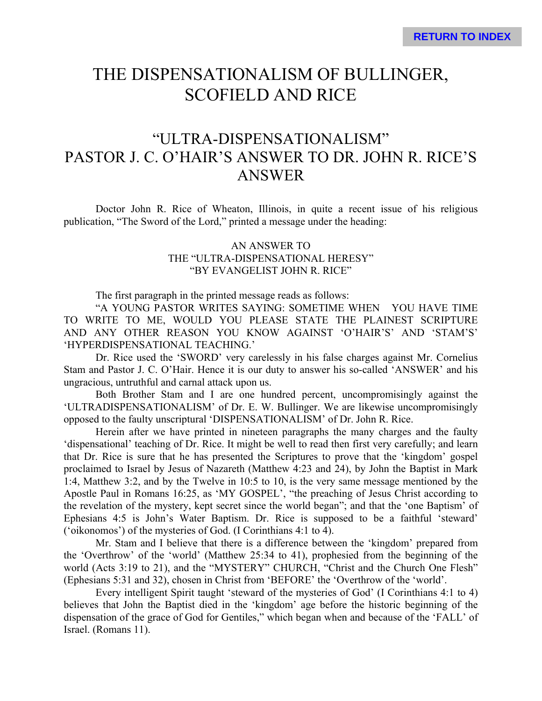# THE DISPENSATIONALISM OF BULLINGER, SCOFIELD AND RICE

# "ULTRA-DISPENSATIONALISM" PASTOR J. C. O'HAIR'S ANSWER TO DR. JOHN R. RICE'S ANSWER

Doctor John R. Rice of Wheaton, Illinois, in quite a recent issue of his religious publication, "The Sword of the Lord," printed a message under the heading:

# AN ANSWER TO THE "ULTRA-DISPENSATIONAL HERESY" "BY EVANGELIST JOHN R. RICE"

The first paragraph in the printed message reads as follows:

"A YOUNG PASTOR WRITES SAYING: SOMETIME WHEN YOU HAVE TIME TO WRITE TO ME, WOULD YOU PLEASE STATE THE PLAINEST SCRIPTURE AND ANY OTHER REASON YOU KNOW AGAINST 'O'HAIR'S' AND 'STAM'S' 'HYPERDISPENSATIONAL TEACHING.'

Dr. Rice used the 'SWORD' very carelessly in his false charges against Mr. Cornelius Stam and Pastor J. C. O'Hair. Hence it is our duty to answer his so-called 'ANSWER' and his ungracious, untruthful and carnal attack upon us.

Both Brother Stam and I are one hundred percent, uncompromisingly against the 'ULTRADISPENSATIONALISM' of Dr. E. W. Bullinger. We are likewise uncompromisingly opposed to the faulty unscriptural 'DISPENSATIONALISM' of Dr. John R. Rice.

Herein after we have printed in nineteen paragraphs the many charges and the faulty 'dispensational' teaching of Dr. Rice. It might be well to read then first very carefully; and learn that Dr. Rice is sure that he has presented the Scriptures to prove that the 'kingdom' gospel proclaimed to Israel by Jesus of Nazareth (Matthew 4:23 and 24), by John the Baptist in Mark 1:4, Matthew 3:2, and by the Twelve in 10:5 to 10, is the very same message mentioned by the Apostle Paul in Romans 16:25, as 'MY GOSPEL', "the preaching of Jesus Christ according to the revelation of the mystery, kept secret since the world began"; and that the 'one Baptism' of Ephesians 4:5 is John's Water Baptism. Dr. Rice is supposed to be a faithful 'steward' ('oikonomos') of the mysteries of God. (I Corinthians 4:1 to 4).

Mr. Stam and I believe that there is a difference between the 'kingdom' prepared from the 'Overthrow' of the 'world' (Matthew 25:34 to 41), prophesied from the beginning of the world (Acts 3:19 to 21), and the "MYSTERY" CHURCH, "Christ and the Church One Flesh" (Ephesians 5:31 and 32), chosen in Christ from 'BEFORE' the 'Overthrow of the 'world'.

Every intelligent Spirit taught 'steward of the mysteries of God' (I Corinthians 4:1 to 4) believes that John the Baptist died in the 'kingdom' age before the historic beginning of the dispensation of the grace of God for Gentiles," which began when and because of the 'FALL' of Israel. (Romans 11).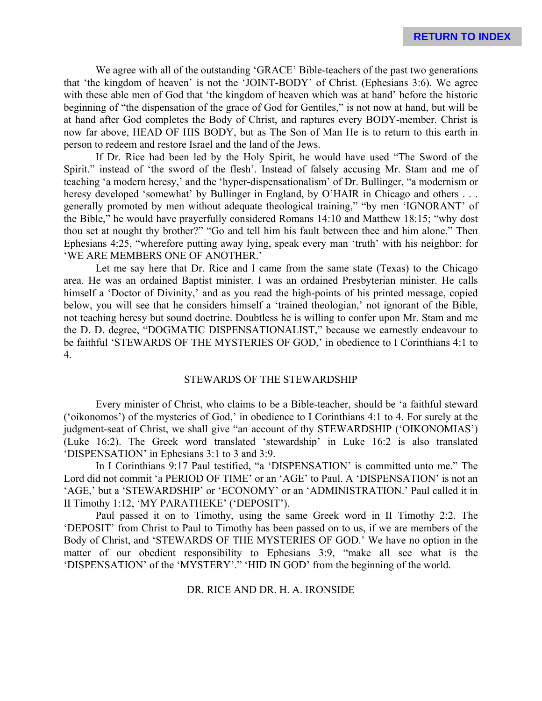We agree with all of the outstanding 'GRACE' Bible-teachers of the past two generations that 'the kingdom of heaven' is not the 'JOINT-BODY' of Christ. (Ephesians 3:6). We agree with these able men of God that 'the kingdom of heaven which was at hand' before the historic beginning of "the dispensation of the grace of God for Gentiles," is not now at hand, but will be at hand after God completes the Body of Christ, and raptures every BODY-member. Christ is now far above, HEAD OF HIS BODY, but as The Son of Man He is to return to this earth in person to redeem and restore Israel and the land of the Jews.

If Dr. Rice had been led by the Holy Spirit, he would have used "The Sword of the Spirit." instead of 'the sword of the flesh'. Instead of falsely accusing Mr. Stam and me of teaching 'a modern heresy,' and the 'hyper-dispensationalism' of Dr. Bullinger, "a modernism or heresy developed 'somewhat' by Bullinger in England, by O'HAIR in Chicago and others . . . generally promoted by men without adequate theological training," "by men 'IGNORANT' of the Bible," he would have prayerfully considered Romans 14:10 and Matthew 18:15; "why dost thou set at nought thy brother?" "Go and tell him his fault between thee and him alone." Then Ephesians 4:25, "wherefore putting away lying, speak every man 'truth' with his neighbor: for 'WE ARE MEMBERS ONE OF ANOTHER.'

Let me say here that Dr. Rice and I came from the same state (Texas) to the Chicago area. He was an ordained Baptist minister. I was an ordained Presbyterian minister. He calls himself a 'Doctor of Divinity,' and as you read the high-points of his printed message, copied below, you will see that he considers himself a 'trained theologian,' not ignorant of the Bible, not teaching heresy but sound doctrine. Doubtless he is willing to confer upon Mr. Stam and me the D. D. degree, "DOGMATIC DISPENSATIONALIST," because we earnestly endeavour to be faithful 'STEWARDS OF THE MYSTERIES OF GOD,' in obedience to I Corinthians 4:1 to 4.

# STEWARDS OF THE STEWARDSHIP

Every minister of Christ, who claims to be a Bible-teacher, should be 'a faithful steward ('oikonomos') of the mysteries of God,' in obedience to I Corinthians 4:1 to 4. For surely at the judgment-seat of Christ, we shall give "an account of thy STEWARDSHIP ('OIKONOMIAS') (Luke 16:2). The Greek word translated 'stewardship' in Luke 16:2 is also translated 'DISPENSATION' in Ephesians 3:1 to 3 and 3:9.

In I Corinthians 9:17 Paul testified, "a 'DISPENSATION' is committed unto me." The Lord did not commit 'a PERIOD OF TIME' or an 'AGE' to Paul. A 'DISPENSATION' is not an 'AGE,' but a 'STEWARDSHIP' or 'ECONOMY' or an 'ADMINISTRATION.' Paul called it in II Timothy 1:12, 'MY PARATHEKE' ('DEPOSIT').

Paul passed it on to Timothy, using the same Greek word in II Timothy 2:2. The 'DEPOSIT' from Christ to Paul to Timothy has been passed on to us, if we are members of the Body of Christ, and 'STEWARDS OF THE MYSTERIES OF GOD.' We have no option in the matter of our obedient responsibility to Ephesians 3:9, "make all see what is the 'DISPENSATION' of the 'MYSTERY'." 'HID IN GOD' from the beginning of the world.

### DR. RICE AND DR. H. A. IRONSIDE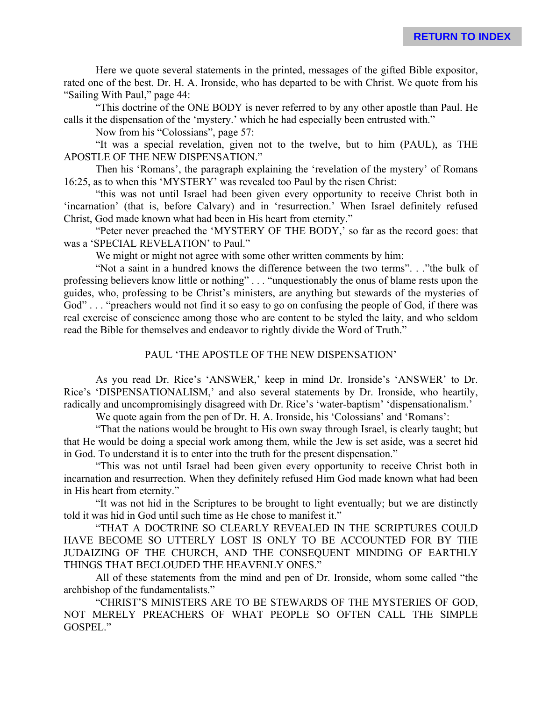Here we quote several statements in the printed, messages of the gifted Bible expositor, rated one of the best. Dr. H. A. Ironside, who has departed to be with Christ. We quote from his "Sailing With Paul," page 44:

"This doctrine of the ONE BODY is never referred to by any other apostle than Paul. He calls it the dispensation of the 'mystery.' which he had especially been entrusted with."

Now from his "Colossians", page 57:

"It was a special revelation, given not to the twelve, but to him (PAUL), as THE APOSTLE OF THE NEW DISPENSATION."

Then his 'Romans', the paragraph explaining the 'revelation of the mystery' of Romans 16:25, as to when this 'MYSTERY' was revealed too Paul by the risen Christ:

"this was not until Israel had been given every opportunity to receive Christ both in 'incarnation' (that is, before Calvary) and in 'resurrection.' When Israel definitely refused Christ, God made known what had been in His heart from eternity."

"Peter never preached the 'MYSTERY OF THE BODY,' so far as the record goes: that was a 'SPECIAL REVELATION' to Paul."

We might or might not agree with some other written comments by him:

"Not a saint in a hundred knows the difference between the two terms". . ."the bulk of professing believers know little or nothing" . . . "unquestionably the onus of blame rests upon the guides, who, professing to be Christ's ministers, are anything but stewards of the mysteries of God" . . . "preachers would not find it so easy to go on confusing the people of God, if there was real exercise of conscience among those who are content to be styled the laity, and who seldom read the Bible for themselves and endeavor to rightly divide the Word of Truth."

## PAUL 'THE APOSTLE OF THE NEW DISPENSATION'

As you read Dr. Rice's 'ANSWER,' keep in mind Dr. Ironside's 'ANSWER' to Dr. Rice's 'DISPENSATIONALISM,' and also several statements by Dr. Ironside, who heartily, radically and uncompromisingly disagreed with Dr. Rice's 'water-baptism' 'dispensationalism.'

We quote again from the pen of Dr. H. A. Ironside, his 'Colossians' and 'Romans':

"That the nations would be brought to His own sway through Israel, is clearly taught; but that He would be doing a special work among them, while the Jew is set aside, was a secret hid in God. To understand it is to enter into the truth for the present dispensation."

"This was not until Israel had been given every opportunity to receive Christ both in incarnation and resurrection. When they definitely refused Him God made known what had been in His heart from eternity."

"It was not hid in the Scriptures to be brought to light eventually; but we are distinctly told it was hid in God until such time as He chose to manifest it."

"THAT A DOCTRINE SO CLEARLY REVEALED IN THE SCRIPTURES COULD HAVE BECOME SO UTTERLY LOST IS ONLY TO BE ACCOUNTED FOR BY THE JUDAIZING OF THE CHURCH, AND THE CONSEQUENT MINDING OF EARTHLY THINGS THAT BECLOUDED THE HEAVENLY ONES."

All of these statements from the mind and pen of Dr. Ironside, whom some called "the archbishop of the fundamentalists."

"CHRIST'S MINISTERS ARE TO BE STEWARDS OF THE MYSTERIES OF GOD, NOT MERELY PREACHERS OF WHAT PEOPLE SO OFTEN CALL THE SIMPLE GOSPEL."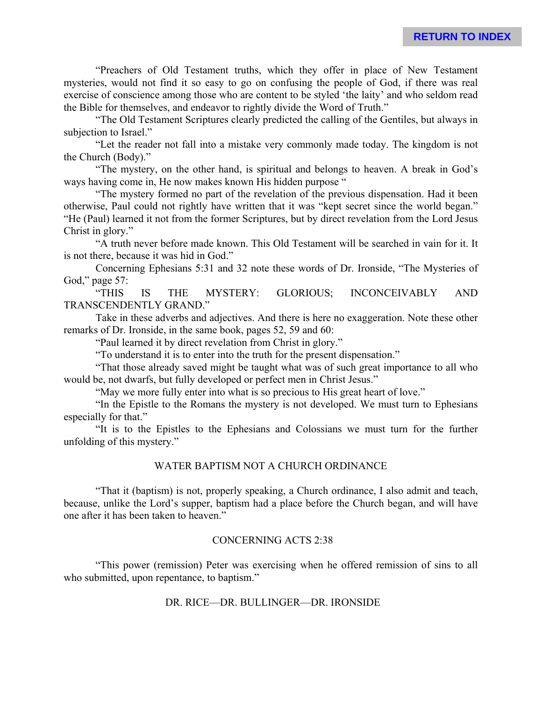"Preachers of Old Testament truths, which they offer in place of New Testament mysteries, would not find it so easy to go on confusing the people of God, if there was real exercise of conscience among those who are content to be styled 'the laity' and who seldom read the Bible for themselves, and endeavor to rightly divide the Word of Truth."

"The Old Testament Scriptures clearly predicted the calling of the Gentiles, but always in subjection to Israel."

"Let the reader not fall into a mistake very commonly made today. The kingdom is not the Church (Body)."

"The mystery, on the other hand, is spiritual and belongs to heaven. A break in God's ways having come in. He now makes known His hidden purpose "

"The mystery formed no part of the revelation of the previous dispensation. Had it been otherwise, Paul could not rightly have written that it was "kept secret since the world began." "He (Paul) learned it not from the former Scriptures, but by direct revelation from the Lord Jesus Christ in glory."

"A truth never before made known. This Old Testament will be searched in vain for it. It is not there, because it was hid in God."

Concerning Ephesians 5:31 and 32 note these words of Dr. Ironside, "The Mysteries of God," page 57:

"THIS IS THE MYSTERY: GLORIOUS; INCONCEIVABLY AND TRANSCENDENTLY GRAND."

Take in these adverbs and adjectives. And there is here no exaggeration. Note these other remarks of Dr. Ironside, in the same book, pages 52, 59 and 60:

"Paul learned it by direct revelation from Christ in glory."

"To understand it is to enter into the truth for the present dispensation."

"That those already saved might be taught what was of such great importance to all who would be, not dwarfs, but fully developed or perfect men in Christ Jesus."

"May we more fully enter into what is so precious to His great heart of love."

"In the Epistle to the Romans the mystery is not developed. We must turn to Ephesians especially for that."

"It is to the Epistles to the Ephesians and Colossians we must turn for the further unfolding of this mystery."

# WATER BAPTISM NOT A CHURCH ORDINANCE

"That it (baptism) is not, properly speaking, a Church ordinance, I also admit and teach, because, unlike the Lord's supper, baptism had a place before the Church began, and will have one after it has been taken to heaven."

# CONCERNING ACTS 2:38

"This power (remission) Peter was exercising when he offered remission of sins to all who submitted, upon repentance, to baptism."

#### DR. RICE—DR. BULLINGER—DR. IRONSIDE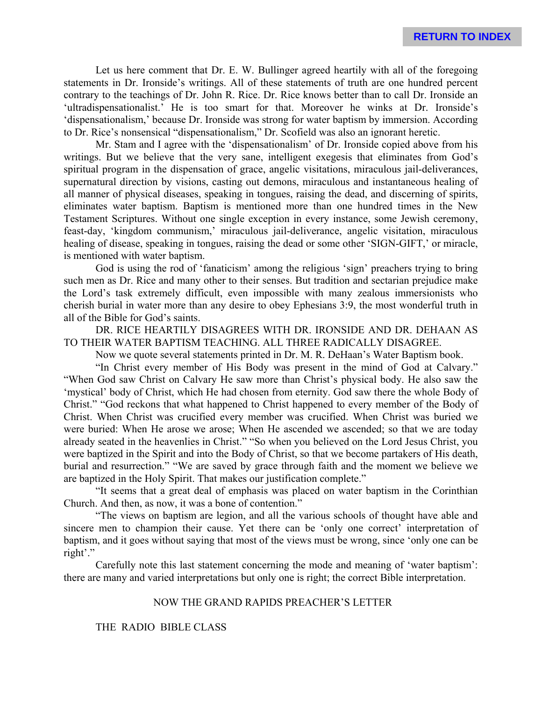Let us here comment that Dr. E. W. Bullinger agreed heartily with all of the foregoing statements in Dr. Ironside's writings. All of these statements of truth are one hundred percent contrary to the teachings of Dr. John R. Rice. Dr. Rice knows better than to call Dr. Ironside an 'ultradispensationalist.' He is too smart for that. Moreover he winks at Dr. Ironside's 'dispensationalism,' because Dr. Ironside was strong for water baptism by immersion. According to Dr. Rice's nonsensical "dispensationalism," Dr. Scofield was also an ignorant heretic.

Mr. Stam and I agree with the 'dispensationalism' of Dr. Ironside copied above from his writings. But we believe that the very sane, intelligent exegesis that eliminates from God's spiritual program in the dispensation of grace, angelic visitations, miraculous jail-deliverances, supernatural direction by visions, casting out demons, miraculous and instantaneous healing of all manner of physical diseases, speaking in tongues, raising the dead, and discerning of spirits, eliminates water baptism. Baptism is mentioned more than one hundred times in the New Testament Scriptures. Without one single exception in every instance, some Jewish ceremony, feast-day, 'kingdom communism,' miraculous jail-deliverance, angelic visitation, miraculous healing of disease, speaking in tongues, raising the dead or some other 'SIGN-GIFT,' or miracle, is mentioned with water baptism.

God is using the rod of 'fanaticism' among the religious 'sign' preachers trying to bring such men as Dr. Rice and many other to their senses. But tradition and sectarian prejudice make the Lord's task extremely difficult, even impossible with many zealous immersionists who cherish burial in water more than any desire to obey Ephesians 3:9, the most wonderful truth in all of the Bible for God's saints.

DR. RICE HEARTILY DISAGREES WITH DR. IRONSIDE AND DR. DEHAAN AS TO THEIR WATER BAPTISM TEACHING. ALL THREE RADICALLY DISAGREE.

Now we quote several statements printed in Dr. M. R. DeHaan's Water Baptism book.

"In Christ every member of His Body was present in the mind of God at Calvary." "When God saw Christ on Calvary He saw more than Christ's physical body. He also saw the 'mystical' body of Christ, which He had chosen from eternity. God saw there the whole Body of Christ." "God reckons that what happened to Christ happened to every member of the Body of Christ. When Christ was crucified every member was crucified. When Christ was buried we were buried: When He arose we arose; When He ascended we ascended; so that we are today already seated in the heavenlies in Christ." "So when you believed on the Lord Jesus Christ, you were baptized in the Spirit and into the Body of Christ, so that we become partakers of His death, burial and resurrection." "We are saved by grace through faith and the moment we believe we are baptized in the Holy Spirit. That makes our justification complete."

"It seems that a great deal of emphasis was placed on water baptism in the Corinthian Church. And then, as now, it was a bone of contention."

"The views on baptism are legion, and all the various schools of thought have able and sincere men to champion their cause. Yet there can be 'only one correct' interpretation of baptism, and it goes without saying that most of the views must be wrong, since 'only one can be right'."

Carefully note this last statement concerning the mode and meaning of 'water baptism': there are many and varied interpretations but only one is right; the correct Bible interpretation.

#### NOW THE GRAND RAPIDS PREACHER'S LETTER

#### THE RADIO BIBLE CLASS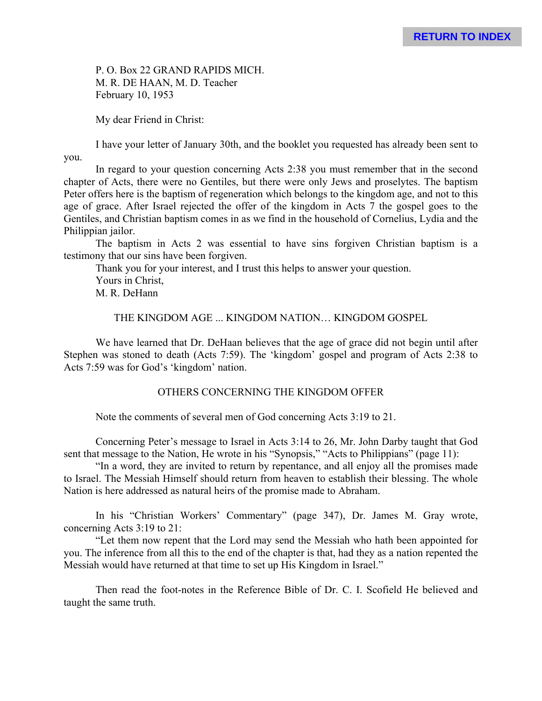P. O. Box 22 GRAND RAPIDS MICH. M. R. DE HAAN, M. D. Teacher February 10, 1953

My dear Friend in Christ:

I have your letter of January 30th, and the booklet you requested has already been sent to you.

In regard to your question concerning Acts 2:38 you must remember that in the second chapter of Acts, there were no Gentiles, but there were only Jews and proselytes. The baptism Peter offers here is the baptism of regeneration which belongs to the kingdom age, and not to this age of grace. After Israel rejected the offer of the kingdom in Acts 7 the gospel goes to the Gentiles, and Christian baptism comes in as we find in the household of Cornelius, Lydia and the Philippian jailor.

The baptism in Acts 2 was essential to have sins forgiven Christian baptism is a testimony that our sins have been forgiven.

Thank you for your interest, and I trust this helps to answer your question. Yours in Christ, M. R. DeHann

THE KINGDOM AGE ... KINGDOM NATION… KINGDOM GOSPEL

We have learned that Dr. DeHaan believes that the age of grace did not begin until after Stephen was stoned to death (Acts 7:59). The 'kingdom' gospel and program of Acts 2:38 to Acts 7:59 was for God's 'kingdom' nation.

# OTHERS CONCERNING THE KINGDOM OFFER

Note the comments of several men of God concerning Acts 3:19 to 21.

Concerning Peter's message to Israel in Acts 3:14 to 26, Mr. John Darby taught that God sent that message to the Nation, He wrote in his "Synopsis," "Acts to Philippians" (page 11):

"In a word, they are invited to return by repentance, and all enjoy all the promises made to Israel. The Messiah Himself should return from heaven to establish their blessing. The whole Nation is here addressed as natural heirs of the promise made to Abraham.

In his "Christian Workers' Commentary" (page 347), Dr. James M. Gray wrote, concerning Acts 3:19 to 21:

"Let them now repent that the Lord may send the Messiah who hath been appointed for you. The inference from all this to the end of the chapter is that, had they as a nation repented the Messiah would have returned at that time to set up His Kingdom in Israel."

Then read the foot-notes in the Reference Bible of Dr. C. I. Scofield He believed and taught the same truth.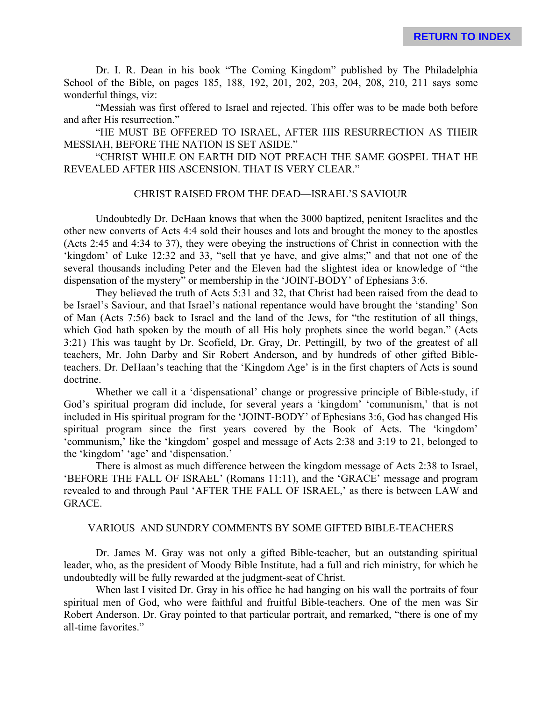Dr. I. R. Dean in his book "The Coming Kingdom" published by The Philadelphia School of the Bible, on pages 185, 188, 192, 201, 202, 203, 204, 208, 210, 211 says some wonderful things, viz:

"Messiah was first offered to Israel and rejected. This offer was to be made both before and after His resurrection."

"HE MUST BE OFFERED TO ISRAEL, AFTER HIS RESURRECTION AS THEIR MESSIAH, BEFORE THE NATION IS SET ASIDE."

"CHRIST WHILE ON EARTH DID NOT PREACH THE SAME GOSPEL THAT HE REVEALED AFTER HIS ASCENSION. THAT IS VERY CLEAR."

#### CHRIST RAISED FROM THE DEAD—ISRAEL'S SAVIOUR

Undoubtedly Dr. DeHaan knows that when the 3000 baptized, penitent Israelites and the other new converts of Acts 4:4 sold their houses and lots and brought the money to the apostles (Acts 2:45 and 4:34 to 37), they were obeying the instructions of Christ in connection with the 'kingdom' of Luke 12:32 and 33, "sell that ye have, and give alms;" and that not one of the several thousands including Peter and the Eleven had the slightest idea or knowledge of "the dispensation of the mystery" or membership in the 'JOINT-BODY' of Ephesians 3:6.

They believed the truth of Acts 5:31 and 32, that Christ had been raised from the dead to be Israel's Saviour, and that Israel's national repentance would have brought the 'standing' Son of Man (Acts 7:56) back to Israel and the land of the Jews, for "the restitution of all things, which God hath spoken by the mouth of all His holy prophets since the world began." (Acts 3:21) This was taught by Dr. Scofield, Dr. Gray, Dr. Pettingill, by two of the greatest of all teachers, Mr. John Darby and Sir Robert Anderson, and by hundreds of other gifted Bibleteachers. Dr. DeHaan's teaching that the 'Kingdom Age' is in the first chapters of Acts is sound doctrine.

Whether we call it a 'dispensational' change or progressive principle of Bible-study, if God's spiritual program did include, for several years a 'kingdom' 'communism,' that is not included in His spiritual program for the 'JOINT-BODY' of Ephesians 3:6, God has changed His spiritual program since the first years covered by the Book of Acts. The 'kingdom' 'communism,' like the 'kingdom' gospel and message of Acts 2:38 and 3:19 to 21, belonged to the 'kingdom' 'age' and 'dispensation.'

There is almost as much difference between the kingdom message of Acts 2:38 to Israel, 'BEFORE THE FALL OF ISRAEL' (Romans 11:11), and the 'GRACE' message and program revealed to and through Paul 'AFTER THE FALL OF ISRAEL,' as there is between LAW and GRACE.

#### VARIOUS AND SUNDRY COMMENTS BY SOME GIFTED BIBLE-TEACHERS

Dr. James M. Gray was not only a gifted Bible-teacher, but an outstanding spiritual leader, who, as the president of Moody Bible Institute, had a full and rich ministry, for which he undoubtedly will be fully rewarded at the judgment-seat of Christ.

When last I visited Dr. Gray in his office he had hanging on his wall the portraits of four spiritual men of God, who were faithful and fruitful Bible-teachers. One of the men was Sir Robert Anderson. Dr. Gray pointed to that particular portrait, and remarked, "there is one of my all-time favorites."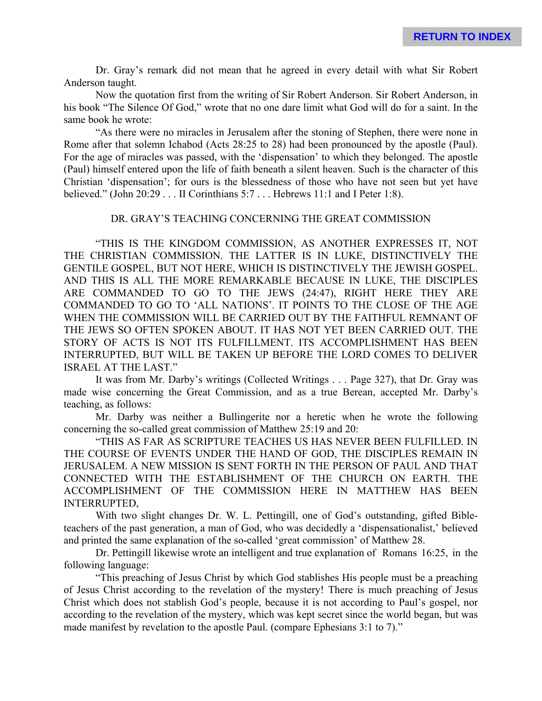Dr. Gray's remark did not mean that he agreed in every detail with what Sir Robert Anderson taught.

Now the quotation first from the writing of Sir Robert Anderson. Sir Robert Anderson, in his book "The Silence Of God," wrote that no one dare limit what God will do for a saint. In the same book he wrote:

"As there were no miracles in Jerusalem after the stoning of Stephen, there were none in Rome after that solemn Ichabod (Acts 28:25 to 28) had been pronounced by the apostle (Paul). For the age of miracles was passed, with the 'dispensation' to which they belonged. The apostle (Paul) himself entered upon the life of faith beneath a silent heaven. Such is the character of this Christian 'dispensation'; for ours is the blessedness of those who have not seen but yet have believed." (John 20:29 . . . II Corinthians 5:7 . . . Hebrews 11:1 and I Peter 1:8).

## DR. GRAY'S TEACHING CONCERNING THE GREAT COMMISSION

"THIS IS THE KINGDOM COMMISSION, AS ANOTHER EXPRESSES IT, NOT THE CHRISTIAN COMMISSION. THE LATTER IS IN LUKE, DISTINCTIVELY THE GENTILE GOSPEL, BUT NOT HERE, WHICH IS DISTINCTIVELY THE JEWISH GOSPEL. AND THIS IS ALL THE MORE REMARKABLE BECAUSE IN LUKE, THE DISCIPLES ARE COMMANDED TO GO TO THE JEWS (24:47), RIGHT HERE THEY ARE COMMANDED TO GO TO 'ALL NATIONS'. IT POINTS TO THE CLOSE OF THE AGE WHEN THE COMMISSION WILL BE CARRIED OUT BY THE FAITHFUL REMNANT OF THE JEWS SO OFTEN SPOKEN ABOUT. IT HAS NOT YET BEEN CARRIED OUT. THE STORY OF ACTS IS NOT ITS FULFILLMENT. ITS ACCOMPLISHMENT HAS BEEN INTERRUPTED, BUT WILL BE TAKEN UP BEFORE THE LORD COMES TO DELIVER ISRAEL AT THE LAST."

It was from Mr. Darby's writings (Collected Writings . . . Page 327), that Dr. Gray was made wise concerning the Great Commission, and as a true Berean, accepted Mr. Darby's teaching, as follows:

Mr. Darby was neither a Bullingerite nor a heretic when he wrote the following concerning the so-called great commission of Matthew 25:19 and 20:

"THIS AS FAR AS SCRIPTURE TEACHES US HAS NEVER BEEN FULFILLED. IN THE COURSE OF EVENTS UNDER THE HAND OF GOD, THE DISCIPLES REMAIN IN JERUSALEM. A NEW MISSION IS SENT FORTH IN THE PERSON OF PAUL AND THAT CONNECTED WITH THE ESTABLISHMENT OF THE CHURCH ON EARTH. THE ACCOMPLISHMENT OF THE COMMISSION HERE IN MATTHEW HAS BEEN INTERRUPTED,

With two slight changes Dr. W. L. Pettingill, one of God's outstanding, gifted Bibleteachers of the past generation, a man of God, who was decidedly a 'dispensationalist,' believed and printed the same explanation of the so-called 'great commission' of Matthew 28.

Dr. Pettingill likewise wrote an intelligent and true explanation of Romans 16:25, in the following language:

"This preaching of Jesus Christ by which God stablishes His people must be a preaching of Jesus Christ according to the revelation of the mystery! There is much preaching of Jesus Christ which does not stablish God's people, because it is not according to Paul's gospel, nor according to the revelation of the mystery, which was kept secret since the world began, but was made manifest by revelation to the apostle Paul. (compare Ephesians 3:1 to 7)."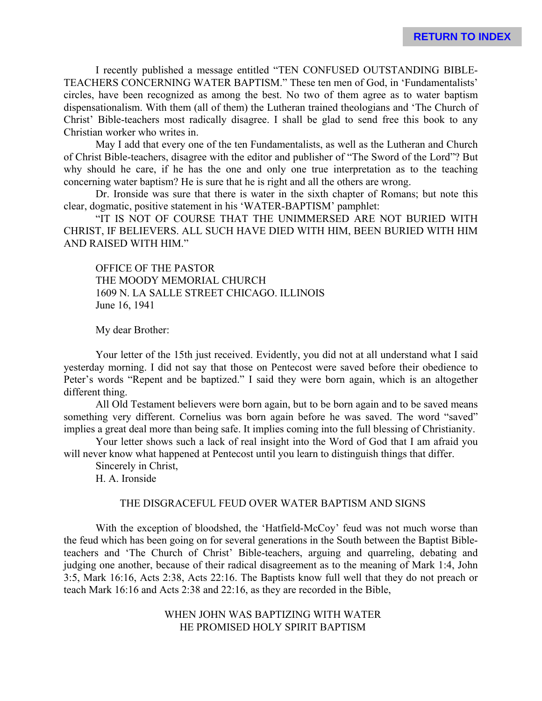I recently published a message entitled "TEN CONFUSED OUTSTANDING BIBLE-TEACHERS CONCERNING WATER BAPTISM." These ten men of God, in 'Fundamentalists' circles, have been recognized as among the best. No two of them agree as to water baptism dispensationalism. With them (all of them) the Lutheran trained theologians and 'The Church of Christ' Bible-teachers most radically disagree. I shall be glad to send free this book to any Christian worker who writes in.

May I add that every one of the ten Fundamentalists, as well as the Lutheran and Church of Christ Bible-teachers, disagree with the editor and publisher of "The Sword of the Lord"? But why should he care, if he has the one and only one true interpretation as to the teaching concerning water baptism? He is sure that he is right and all the others are wrong.

Dr. Ironside was sure that there is water in the sixth chapter of Romans; but note this clear, dogmatic, positive statement in his 'WATER-BAPTISM' pamphlet:

"IT IS NOT OF COURSE THAT THE UNIMMERSED ARE NOT BURIED WITH CHRIST, IF BELIEVERS. ALL SUCH HAVE DIED WITH HIM, BEEN BURIED WITH HIM AND RAISED WITH HIM."

OFFICE OF THE PASTOR THE MOODY MEMORIAL CHURCH 1609 N. LA SALLE STREET CHICAGO. ILLINOIS June 16, 1941

My dear Brother:

Your letter of the 15th just received. Evidently, you did not at all understand what I said yesterday morning. I did not say that those on Pentecost were saved before their obedience to Peter's words "Repent and be baptized." I said they were born again, which is an altogether different thing.

All Old Testament believers were born again, but to be born again and to be saved means something very different. Cornelius was born again before he was saved. The word "saved" implies a great deal more than being safe. It implies coming into the full blessing of Christianity.

Your letter shows such a lack of real insight into the Word of God that I am afraid you will never know what happened at Pentecost until you learn to distinguish things that differ.

Sincerely in Christ,

H. A. Ironside

#### THE DISGRACEFUL FEUD OVER WATER BAPTISM AND SIGNS

With the exception of bloodshed, the 'Hatfield-McCoy' feud was not much worse than the feud which has been going on for several generations in the South between the Baptist Bibleteachers and 'The Church of Christ' Bible-teachers, arguing and quarreling, debating and judging one another, because of their radical disagreement as to the meaning of Mark 1:4, John 3:5, Mark 16:16, Acts 2:38, Acts 22:16. The Baptists know full well that they do not preach or teach Mark 16:16 and Acts 2:38 and 22:16, as they are recorded in the Bible,

> WHEN JOHN WAS BAPTIZING WITH WATER HE PROMISED HOLY SPIRIT BAPTISM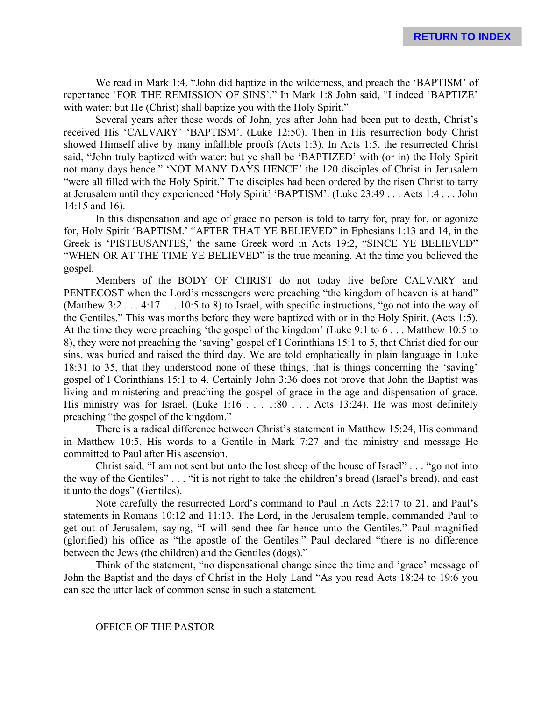We read in Mark 1:4, "John did baptize in the wilderness, and preach the 'BAPTISM' of repentance 'FOR THE REMISSION OF SINS'." In Mark 1:8 John said, "I indeed 'BAPTIZE' with water: but He (Christ) shall baptize you with the Holy Spirit."

Several years after these words of John, yes after John had been put to death, Christ's received His 'CALVARY' 'BAPTISM'. (Luke 12:50). Then in His resurrection body Christ showed Himself alive by many infallible proofs (Acts 1:3). In Acts 1:5, the resurrected Christ said, "John truly baptized with water: but ye shall be 'BAPTIZED' with (or in) the Holy Spirit not many days hence." 'NOT MANY DAYS HENCE' the 120 disciples of Christ in Jerusalem "were all filled with the Holy Spirit." The disciples had been ordered by the risen Christ to tarry at Jerusalem until they experienced 'Holy Spirit' 'BAPTISM'. (Luke 23:49 . . . Acts 1:4 . . . John 14:15 and 16).

In this dispensation and age of grace no person is told to tarry for, pray for, or agonize for, Holy Spirit 'BAPTISM.' "AFTER THAT YE BELIEVED" in Ephesians 1:13 and 14, in the Greek is 'PISTEUSANTES,' the same Greek word in Acts 19:2, "SINCE YE BELIEVED" "WHEN OR AT THE TIME YE BELIEVED" is the true meaning. At the time you believed the gospel.

Members of the BODY OF CHRIST do not today live before CALVARY and PENTECOST when the Lord's messengers were preaching "the kingdom of heaven is at hand" (Matthew 3:2 . . . 4:17 . . . 10:5 to 8) to Israel, with specific instructions, "go not into the way of the Gentiles." This was months before they were baptized with or in the Holy Spirit. (Acts 1:5). At the time they were preaching 'the gospel of the kingdom' (Luke 9:1 to 6 . . . Matthew 10:5 to 8), they were not preaching the 'saving' gospel of I Corinthians 15:1 to 5, that Christ died for our sins, was buried and raised the third day. We are told emphatically in plain language in Luke 18:31 to 35, that they understood none of these things; that is things concerning the 'saving' gospel of I Corinthians 15:1 to 4. Certainly John 3:36 does not prove that John the Baptist was living and ministering and preaching the gospel of grace in the age and dispensation of grace. His ministry was for Israel. (Luke 1:16 . . . 1:80 . . . Acts 13:24). He was most definitely preaching "the gospel of the kingdom."

There is a radical difference between Christ's statement in Matthew 15:24, His command in Matthew 10:5, His words to a Gentile in Mark 7:27 and the ministry and message He committed to Paul after His ascension.

Christ said, "I am not sent but unto the lost sheep of the house of Israel" . . . "go not into the way of the Gentiles" . . . "it is not right to take the children's bread (Israel's bread), and cast it unto the dogs" (Gentiles).

Note carefully the resurrected Lord's command to Paul in Acts 22:17 to 21, and Paul's statements in Romans 10:12 and 11:13. The Lord, in the Jerusalem temple, commanded Paul to get out of Jerusalem, saying, "I will send thee far hence unto the Gentiles." Paul magnified (glorified) his office as "the apostle of the Gentiles." Paul declared "there is no difference between the Jews (the children) and the Gentiles (dogs)."

Think of the statement, "no dispensational change since the time and 'grace' message of John the Baptist and the days of Christ in the Holy Land "As you read Acts 18:24 to 19:6 you can see the utter lack of common sense in such a statement.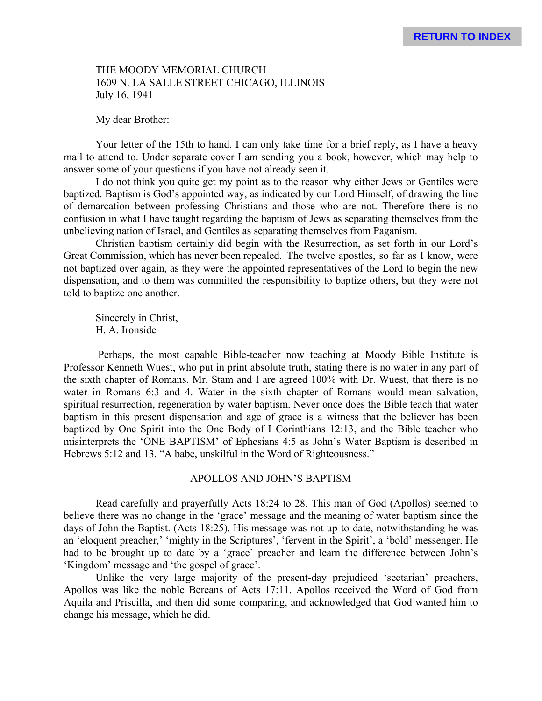# THE MOODY MEMORIAL CHURCH 1609 N. LA SALLE STREET CHICAGO, ILLINOIS July 16, 1941

My dear Brother:

Your letter of the 15th to hand. I can only take time for a brief reply, as I have a heavy mail to attend to. Under separate cover I am sending you a book, however, which may help to answer some of your questions if you have not already seen it.

I do not think you quite get my point as to the reason why either Jews or Gentiles were baptized. Baptism is God's appointed way, as indicated by our Lord Himself, of drawing the line of demarcation between professing Christians and those who are not. Therefore there is no confusion in what I have taught regarding the baptism of Jews as separating themselves from the unbelieving nation of Israel, and Gentiles as separating themselves from Paganism.

Christian baptism certainly did begin with the Resurrection, as set forth in our Lord's Great Commission, which has never been repealed. The twelve apostles, so far as I know, were not baptized over again, as they were the appointed representatives of the Lord to begin the new dispensation, and to them was committed the responsibility to baptize others, but they were not told to baptize one another.

Sincerely in Christ, H. A. Ironside

 Perhaps, the most capable Bible-teacher now teaching at Moody Bible Institute is Professor Kenneth Wuest, who put in print absolute truth, stating there is no water in any part of the sixth chapter of Romans. Mr. Stam and I are agreed 100% with Dr. Wuest, that there is no water in Romans 6:3 and 4. Water in the sixth chapter of Romans would mean salvation, spiritual resurrection, regeneration by water baptism. Never once does the Bible teach that water baptism in this present dispensation and age of grace is a witness that the believer has been baptized by One Spirit into the One Body of I Corinthians 12:13, and the Bible teacher who misinterprets the 'ONE BAPTISM' of Ephesians 4:5 as John's Water Baptism is described in Hebrews 5:12 and 13. "A babe, unskilful in the Word of Righteousness."

# APOLLOS AND JOHN'S BAPTISM

Read carefully and prayerfully Acts 18:24 to 28. This man of God (Apollos) seemed to believe there was no change in the 'grace' message and the meaning of water baptism since the days of John the Baptist. (Acts 18:25). His message was not up-to-date, notwithstanding he was an 'eloquent preacher,' 'mighty in the Scriptures', 'fervent in the Spirit', a 'bold' messenger. He had to be brought up to date by a 'grace' preacher and learn the difference between John's 'Kingdom' message and 'the gospel of grace'.

Unlike the very large majority of the present-day prejudiced 'sectarian' preachers, Apollos was like the noble Bereans of Acts 17:11. Apollos received the Word of God from Aquila and Priscilla, and then did some comparing, and acknowledged that God wanted him to change his message, which he did.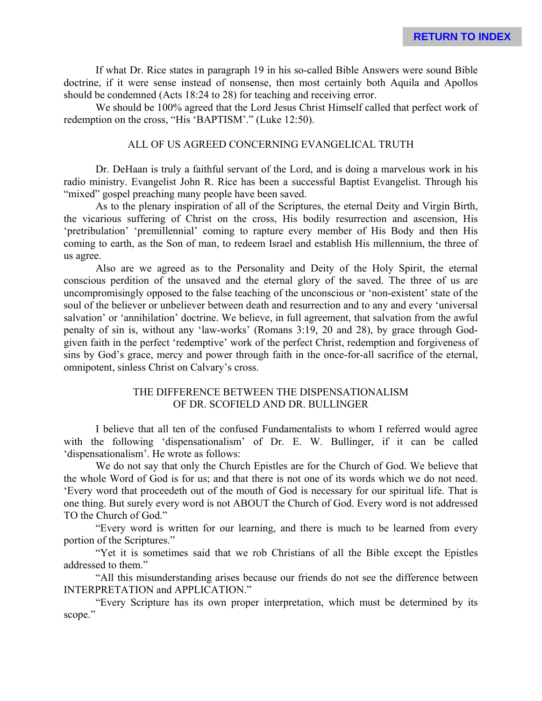If what Dr. Rice states in paragraph 19 in his so-called Bible Answers were sound Bible doctrine, if it were sense instead of nonsense, then most certainly both Aquila and Apollos should be condemned (Acts 18:24 to 28) for teaching and receiving error.

We should be 100% agreed that the Lord Jesus Christ Himself called that perfect work of redemption on the cross, "His 'BAPTISM'." (Luke 12:50).

## ALL OF US AGREED CONCERNING EVANGELICAL TRUTH

Dr. DeHaan is truly a faithful servant of the Lord, and is doing a marvelous work in his radio ministry. Evangelist John R. Rice has been a successful Baptist Evangelist. Through his "mixed" gospel preaching many people have been saved.

As to the plenary inspiration of all of the Scriptures, the eternal Deity and Virgin Birth, the vicarious suffering of Christ on the cross, His bodily resurrection and ascension, His 'pretribulation' 'premillennial' coming to rapture every member of His Body and then His coming to earth, as the Son of man, to redeem Israel and establish His millennium, the three of us agree.

Also are we agreed as to the Personality and Deity of the Holy Spirit, the eternal conscious perdition of the unsaved and the eternal glory of the saved. The three of us are uncompromisingly opposed to the false teaching of the unconscious or 'non-existent' state of the soul of the believer or unbeliever between death and resurrection and to any and every 'universal salvation' or 'annihilation' doctrine. We believe, in full agreement, that salvation from the awful penalty of sin is, without any 'law-works' (Romans 3:19, 20 and 28), by grace through Godgiven faith in the perfect 'redemptive' work of the perfect Christ, redemption and forgiveness of sins by God's grace, mercy and power through faith in the once-for-all sacrifice of the eternal, omnipotent, sinless Christ on Calvary's cross.

# THE DIFFERENCE BETWEEN THE DISPENSATIONALISM OF DR. SCOFIELD AND DR. BULLINGER

I believe that all ten of the confused Fundamentalists to whom I referred would agree with the following 'dispensationalism' of Dr. E. W. Bullinger, if it can be called 'dispensationalism'. He wrote as follows:

We do not say that only the Church Epistles are for the Church of God. We believe that the whole Word of God is for us; and that there is not one of its words which we do not need. 'Every word that proceedeth out of the mouth of God is necessary for our spiritual life. That is one thing. But surely every word is not ABOUT the Church of God. Every word is not addressed TO the Church of God."

"Every word is written for our learning, and there is much to be learned from every portion of the Scriptures."

"Yet it is sometimes said that we rob Christians of all the Bible except the Epistles addressed to them."

"All this misunderstanding arises because our friends do not see the difference between INTERPRETATION and APPLICATION."

"Every Scripture has its own proper interpretation, which must be determined by its scope."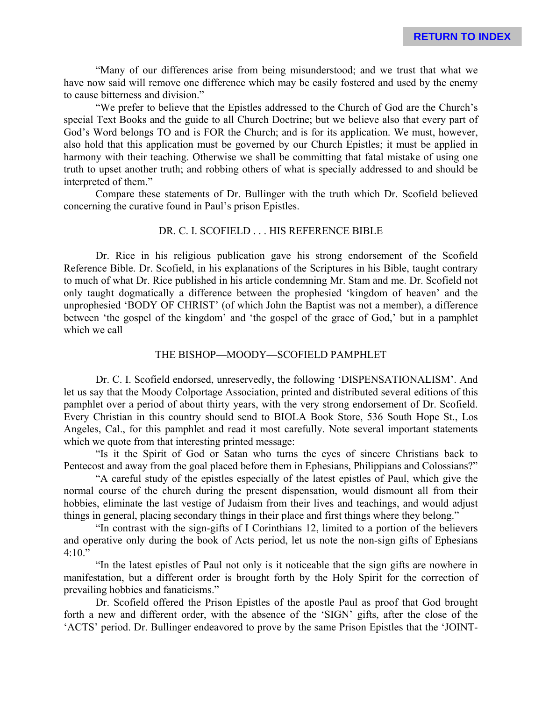"Many of our differences arise from being misunderstood; and we trust that what we have now said will remove one difference which may be easily fostered and used by the enemy to cause bitterness and division."

"We prefer to believe that the Epistles addressed to the Church of God are the Church's special Text Books and the guide to all Church Doctrine; but we believe also that every part of God's Word belongs TO and is FOR the Church; and is for its application. We must, however, also hold that this application must be governed by our Church Epistles; it must be applied in harmony with their teaching. Otherwise we shall be committing that fatal mistake of using one truth to upset another truth; and robbing others of what is specially addressed to and should be interpreted of them."

Compare these statements of Dr. Bullinger with the truth which Dr. Scofield believed concerning the curative found in Paul's prison Epistles.

# DR. C. I. SCOFIELD . . . HIS REFERENCE BIBLE

Dr. Rice in his religious publication gave his strong endorsement of the Scofield Reference Bible. Dr. Scofield, in his explanations of the Scriptures in his Bible, taught contrary to much of what Dr. Rice published in his article condemning Mr. Stam and me. Dr. Scofield not only taught dogmatically a difference between the prophesied 'kingdom of heaven' and the unprophesied 'BODY OF CHRIST' (of which John the Baptist was not a member), a difference between 'the gospel of the kingdom' and 'the gospel of the grace of God,' but in a pamphlet which we call

#### THE BISHOP—MOODY—SCOFIELD PAMPHLET

Dr. C. I. Scofield endorsed, unreservedly, the following 'DISPENSATIONALISM'. And let us say that the Moody Colportage Association, printed and distributed several editions of this pamphlet over a period of about thirty years, with the very strong endorsement of Dr. Scofield. Every Christian in this country should send to BIOLA Book Store, 536 South Hope St., Los Angeles, Cal., for this pamphlet and read it most carefully. Note several important statements which we quote from that interesting printed message:

"Is it the Spirit of God or Satan who turns the eyes of sincere Christians back to Pentecost and away from the goal placed before them in Ephesians, Philippians and Colossians?"

"A careful study of the epistles especially of the latest epistles of Paul, which give the normal course of the church during the present dispensation, would dismount all from their hobbies, eliminate the last vestige of Judaism from their lives and teachings, and would adjust things in general, placing secondary things in their place and first things where they belong."

"In contrast with the sign-gifts of I Corinthians 12, limited to a portion of the believers and operative only during the book of Acts period, let us note the non-sign gifts of Ephesians 4:10."

"In the latest epistles of Paul not only is it noticeable that the sign gifts are nowhere in manifestation, but a different order is brought forth by the Holy Spirit for the correction of prevailing hobbies and fanaticisms."

Dr. Scofield offered the Prison Epistles of the apostle Paul as proof that God brought forth a new and different order, with the absence of the 'SIGN' gifts, after the close of the 'ACTS' period. Dr. Bullinger endeavored to prove by the same Prison Epistles that the 'JOINT-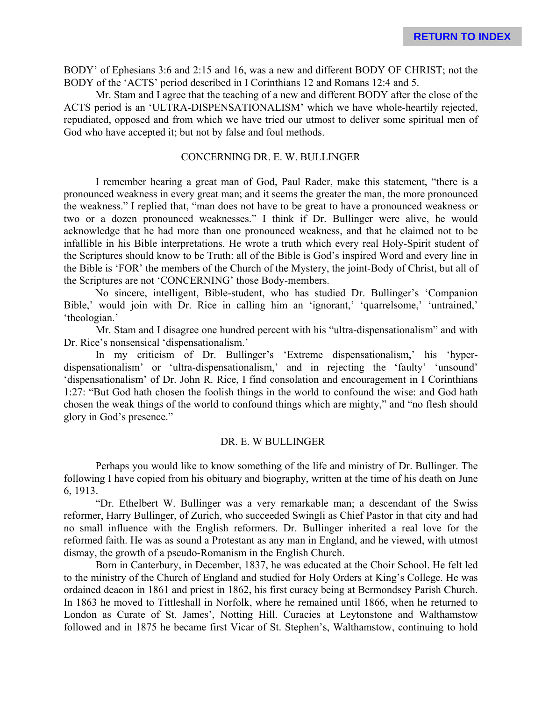BODY' of Ephesians 3:6 and 2:15 and 16, was a new and different BODY OF CHRIST; not the BODY of the 'ACTS' period described in I Corinthians 12 and Romans 12:4 and 5.

Mr. Stam and I agree that the teaching of a new and different BODY after the close of the ACTS period is an 'ULTRA-DISPENSATIONALISM' which we have whole-heartily rejected, repudiated, opposed and from which we have tried our utmost to deliver some spiritual men of God who have accepted it; but not by false and foul methods.

#### CONCERNING DR. E. W. BULLINGER

I remember hearing a great man of God, Paul Rader, make this statement, "there is a pronounced weakness in every great man; and it seems the greater the man, the more pronounced the weakness." I replied that, "man does not have to be great to have a pronounced weakness or two or a dozen pronounced weaknesses." I think if Dr. Bullinger were alive, he would acknowledge that he had more than one pronounced weakness, and that he claimed not to be infallible in his Bible interpretations. He wrote a truth which every real Holy-Spirit student of the Scriptures should know to be Truth: all of the Bible is God's inspired Word and every line in the Bible is 'FOR' the members of the Church of the Mystery, the joint-Body of Christ, but all of the Scriptures are not 'CONCERNING' those Body-members.

No sincere, intelligent, Bible-student, who has studied Dr. Bullinger's 'Companion Bible,' would join with Dr. Rice in calling him an 'ignorant,' 'quarrelsome,' 'untrained,' 'theologian.'

Mr. Stam and I disagree one hundred percent with his "ultra-dispensationalism" and with Dr. Rice's nonsensical 'dispensationalism.'

In my criticism of Dr. Bullinger's 'Extreme dispensationalism,' his 'hyperdispensationalism' or 'ultra-dispensationalism,' and in rejecting the 'faulty' 'unsound' 'dispensationalism' of Dr. John R. Rice, I find consolation and encouragement in I Corinthians 1:27: "But God hath chosen the foolish things in the world to confound the wise: and God hath chosen the weak things of the world to confound things which are mighty," and "no flesh should glory in God's presence."

#### DR. E. W BULLINGER

Perhaps you would like to know something of the life and ministry of Dr. Bullinger. The following I have copied from his obituary and biography, written at the time of his death on June 6, 1913.

"Dr. Ethelbert W. Bullinger was a very remarkable man; a descendant of the Swiss reformer, Harry Bullinger, of Zurich, who succeeded Swingli as Chief Pastor in that city and had no small influence with the English reformers. Dr. Bullinger inherited a real love for the reformed faith. He was as sound a Protestant as any man in England, and he viewed, with utmost dismay, the growth of a pseudo-Romanism in the English Church.

Born in Canterbury, in December, 1837, he was educated at the Choir School. He felt led to the ministry of the Church of England and studied for Holy Orders at King's College. He was ordained deacon in 1861 and priest in 1862, his first curacy being at Bermondsey Parish Church. In 1863 he moved to Tittleshall in Norfolk, where he remained until 1866, when he returned to London as Curate of St. James', Notting Hill. Curacies at Leytonstone and Walthamstow followed and in 1875 he became first Vicar of St. Stephen's, Walthamstow, continuing to hold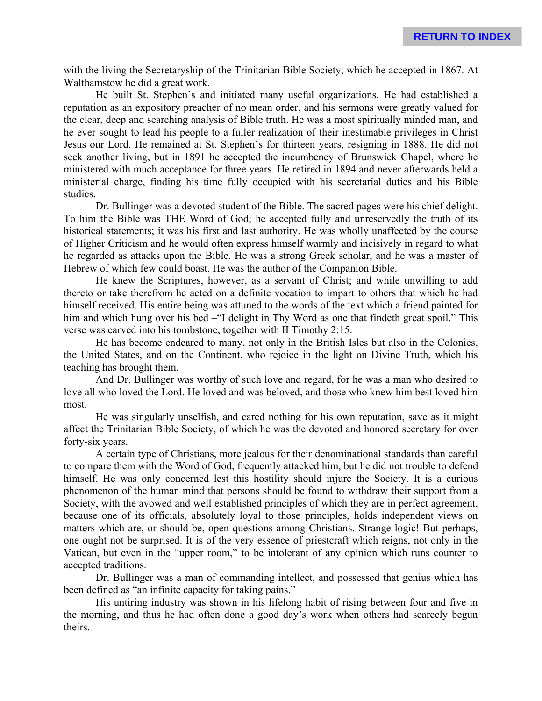with the living the Secretaryship of the Trinitarian Bible Society, which he accepted in 1867. At Walthamstow he did a great work.

He built St. Stephen's and initiated many useful organizations. He had established a reputation as an expository preacher of no mean order, and his sermons were greatly valued for the clear, deep and searching analysis of Bible truth. He was a most spiritually minded man, and he ever sought to lead his people to a fuller realization of their inestimable privileges in Christ Jesus our Lord. He remained at St. Stephen's for thirteen years, resigning in 1888. He did not seek another living, but in 1891 he accepted the incumbency of Brunswick Chapel, where he ministered with much acceptance for three years. He retired in 1894 and never afterwards held a ministerial charge, finding his time fully occupied with his secretarial duties and his Bible studies.

Dr. Bullinger was a devoted student of the Bible. The sacred pages were his chief delight. To him the Bible was THE Word of God; he accepted fully and unreservedly the truth of its historical statements; it was his first and last authority. He was wholly unaffected by the course of Higher Criticism and he would often express himself warmly and incisively in regard to what he regarded as attacks upon the Bible. He was a strong Greek scholar, and he was a master of Hebrew of which few could boast. He was the author of the Companion Bible.

He knew the Scriptures, however, as a servant of Christ; and while unwilling to add thereto or take therefrom he acted on a definite vocation to impart to others that which he had himself received. His entire being was attuned to the words of the text which a friend painted for him and which hung over his bed –"I delight in Thy Word as one that findeth great spoil." This verse was carved into his tombstone, together with II Timothy 2:15.

He has become endeared to many, not only in the British Isles but also in the Colonies, the United States, and on the Continent, who rejoice in the light on Divine Truth, which his teaching has brought them.

And Dr. Bullinger was worthy of such love and regard, for he was a man who desired to love all who loved the Lord. He loved and was beloved, and those who knew him best loved him most.

He was singularly unselfish, and cared nothing for his own reputation, save as it might affect the Trinitarian Bible Society, of which he was the devoted and honored secretary for over forty-six years.

A certain type of Christians, more jealous for their denominational standards than careful to compare them with the Word of God, frequently attacked him, but he did not trouble to defend himself. He was only concerned lest this hostility should injure the Society. It is a curious phenomenon of the human mind that persons should be found to withdraw their support from a Society, with the avowed and well established principles of which they are in perfect agreement, because one of its officials, absolutely loyal to those principles, holds independent views on matters which are, or should be, open questions among Christians. Strange logic! But perhaps, one ought not be surprised. It is of the very essence of priestcraft which reigns, not only in the Vatican, but even in the "upper room," to be intolerant of any opinion which runs counter to accepted traditions.

Dr. Bullinger was a man of commanding intellect, and possessed that genius which has been defined as "an infinite capacity for taking pains."

His untiring industry was shown in his lifelong habit of rising between four and five in the morning, and thus he had often done a good day's work when others had scarcely begun theirs.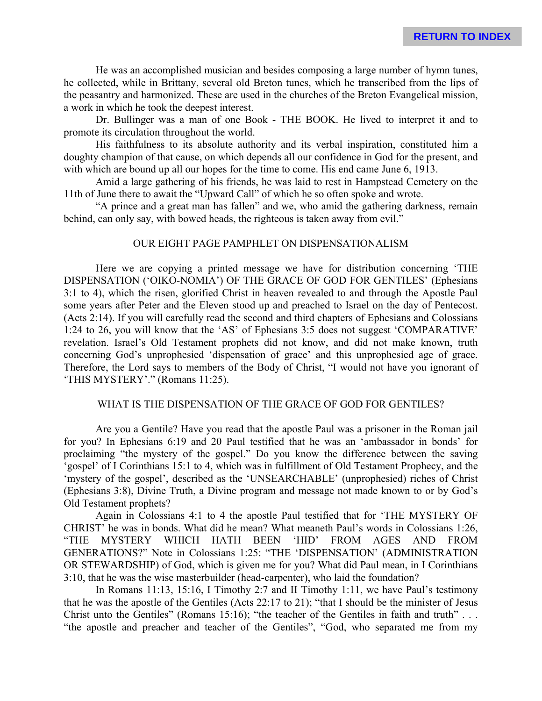He was an accomplished musician and besides composing a large number of hymn tunes, he collected, while in Brittany, several old Breton tunes, which he transcribed from the lips of the peasantry and harmonized. These are used in the churches of the Breton Evangelical mission, a work in which he took the deepest interest.

Dr. Bullinger was a man of one Book - THE BOOK. He lived to interpret it and to promote its circulation throughout the world.

His faithfulness to its absolute authority and its verbal inspiration, constituted him a doughty champion of that cause, on which depends all our confidence in God for the present, and with which are bound up all our hopes for the time to come. His end came June 6, 1913.

Amid a large gathering of his friends, he was laid to rest in Hampstead Cemetery on the 11th of June there to await the "Upward Call" of which he so often spoke and wrote.

"A prince and a great man has fallen" and we, who amid the gathering darkness, remain behind, can only say, with bowed heads, the righteous is taken away from evil."

# OUR EIGHT PAGE PAMPHLET ON DISPENSATIONALISM

Here we are copying a printed message we have for distribution concerning 'THE DISPENSATION ('OIKO-NOMIA') OF THE GRACE OF GOD FOR GENTILES' (Ephesians 3:1 to 4), which the risen, glorified Christ in heaven revealed to and through the Apostle Paul some years after Peter and the Eleven stood up and preached to Israel on the day of Pentecost. (Acts 2:14). If you will carefully read the second and third chapters of Ephesians and Colossians 1:24 to 26, you will know that the 'AS' of Ephesians 3:5 does not suggest 'COMPARATIVE' revelation. Israel's Old Testament prophets did not know, and did not make known, truth concerning God's unprophesied 'dispensation of grace' and this unprophesied age of grace. Therefore, the Lord says to members of the Body of Christ, "I would not have you ignorant of 'THIS MYSTERY'." (Romans 11:25).

# WHAT IS THE DISPENSATION OF THE GRACE OF GOD FOR GENTILES?

Are you a Gentile? Have you read that the apostle Paul was a prisoner in the Roman jail for you? In Ephesians 6:19 and 20 Paul testified that he was an 'ambassador in bonds' for proclaiming "the mystery of the gospel." Do you know the difference between the saving 'gospel' of I Corinthians 15:1 to 4, which was in fulfillment of Old Testament Prophecy, and the 'mystery of the gospel', described as the 'UNSEARCHABLE' (unprophesied) riches of Christ (Ephesians 3:8), Divine Truth, a Divine program and message not made known to or by God's Old Testament prophets?

Again in Colossians 4:1 to 4 the apostle Paul testified that for 'THE MYSTERY OF CHRIST' he was in bonds. What did he mean? What meaneth Paul's words in Colossians 1:26, "THE MYSTERY WHICH HATH BEEN 'HID' FROM AGES AND FROM GENERATIONS?" Note in Colossians 1:25: "THE 'DISPENSATION' (ADMINISTRATION OR STEWARDSHIP) of God, which is given me for you? What did Paul mean, in I Corinthians 3:10, that he was the wise masterbuilder (head-carpenter), who laid the foundation?

In Romans 11:13, 15:16, I Timothy 2:7 and II Timothy 1:11, we have Paul's testimony that he was the apostle of the Gentiles (Acts 22:17 to 21); "that I should be the minister of Jesus Christ unto the Gentiles" (Romans 15:16); "the teacher of the Gentiles in faith and truth" . . . "the apostle and preacher and teacher of the Gentiles", "God, who separated me from my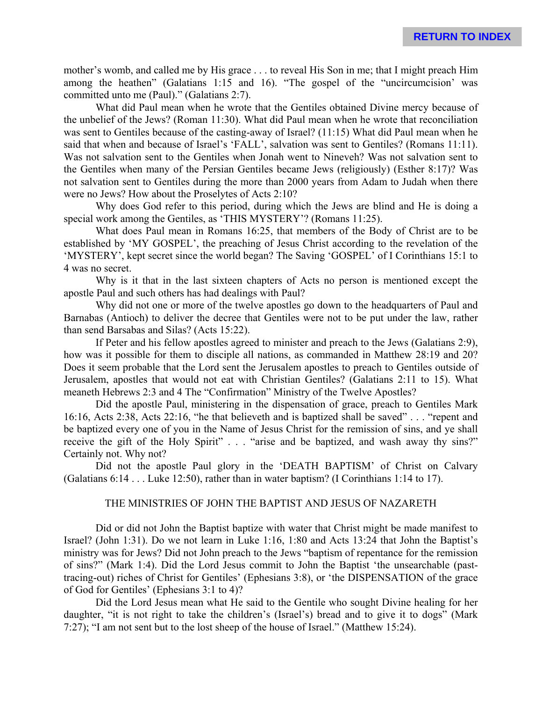mother's womb, and called me by His grace . . . to reveal His Son in me; that I might preach Him among the heathen" (Galatians 1:15 and 16). "The gospel of the "uncircumcision' was committed unto me (Paul)." (Galatians 2:7).

What did Paul mean when he wrote that the Gentiles obtained Divine mercy because of the unbelief of the Jews? (Roman 11:30). What did Paul mean when he wrote that reconciliation was sent to Gentiles because of the casting-away of Israel? (11:15) What did Paul mean when he said that when and because of Israel's 'FALL', salvation was sent to Gentiles? (Romans 11:11). Was not salvation sent to the Gentiles when Jonah went to Nineveh? Was not salvation sent to the Gentiles when many of the Persian Gentiles became Jews (religiously) (Esther 8:17)? Was not salvation sent to Gentiles during the more than 2000 years from Adam to Judah when there were no Jews? How about the Proselytes of Acts 2:10?

Why does God refer to this period, during which the Jews are blind and He is doing a special work among the Gentiles, as 'THIS MYSTERY'? (Romans 11:25).

What does Paul mean in Romans 16:25, that members of the Body of Christ are to be established by 'MY GOSPEL', the preaching of Jesus Christ according to the revelation of the 'MYSTERY', kept secret since the world began? The Saving 'GOSPEL' of I Corinthians 15:1 to 4 was no secret.

Why is it that in the last sixteen chapters of Acts no person is mentioned except the apostle Paul and such others has had dealings with Paul?

Why did not one or more of the twelve apostles go down to the headquarters of Paul and Barnabas (Antioch) to deliver the decree that Gentiles were not to be put under the law, rather than send Barsabas and Silas? (Acts 15:22).

If Peter and his fellow apostles agreed to minister and preach to the Jews (Galatians 2:9), how was it possible for them to disciple all nations, as commanded in Matthew 28:19 and 20? Does it seem probable that the Lord sent the Jerusalem apostles to preach to Gentiles outside of Jerusalem, apostles that would not eat with Christian Gentiles? (Galatians 2:11 to 15). What meaneth Hebrews 2:3 and 4 The "Confirmation" Ministry of the Twelve Apostles?

Did the apostle Paul, ministering in the dispensation of grace, preach to Gentiles Mark 16:16, Acts 2:38, Acts 22:16, "he that believeth and is baptized shall be saved" . . . "repent and be baptized every one of you in the Name of Jesus Christ for the remission of sins, and ye shall receive the gift of the Holy Spirit" . . . "arise and be baptized, and wash away thy sins?" Certainly not. Why not?

Did not the apostle Paul glory in the 'DEATH BAPTISM' of Christ on Calvary (Galatians 6:14 . . . Luke 12:50), rather than in water baptism? (I Corinthians 1:14 to 17).

# THE MINISTRIES OF JOHN THE BAPTIST AND JESUS OF NAZARETH

Did or did not John the Baptist baptize with water that Christ might be made manifest to Israel? (John 1:31). Do we not learn in Luke 1:16, 1:80 and Acts 13:24 that John the Baptist's ministry was for Jews? Did not John preach to the Jews "baptism of repentance for the remission of sins?" (Mark 1:4). Did the Lord Jesus commit to John the Baptist 'the unsearchable (pasttracing-out) riches of Christ for Gentiles' (Ephesians 3:8), or 'the DISPENSATION of the grace of God for Gentiles' (Ephesians 3:1 to 4)?

Did the Lord Jesus mean what He said to the Gentile who sought Divine healing for her daughter, "it is not right to take the children's (Israel's) bread and to give it to dogs" (Mark 7:27); "I am not sent but to the lost sheep of the house of Israel." (Matthew 15:24).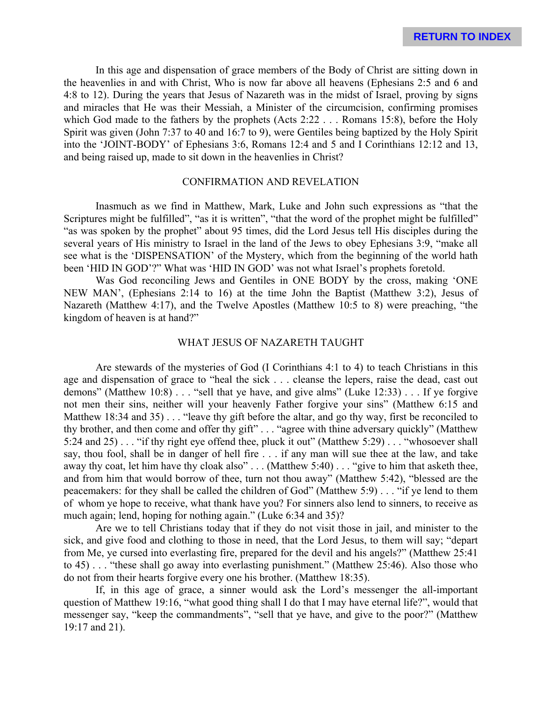In this age and dispensation of grace members of the Body of Christ are sitting down in the heavenlies in and with Christ, Who is now far above all heavens (Ephesians 2:5 and 6 and 4:8 to 12). During the years that Jesus of Nazareth was in the midst of Israel, proving by signs and miracles that He was their Messiah, a Minister of the circumcision, confirming promises which God made to the fathers by the prophets (Acts 2:22 . . . Romans 15:8), before the Holy Spirit was given (John 7:37 to 40 and 16:7 to 9), were Gentiles being baptized by the Holy Spirit into the 'JOINT-BODY' of Ephesians 3:6, Romans 12:4 and 5 and I Corinthians 12:12 and 13, and being raised up, made to sit down in the heavenlies in Christ?

# CONFIRMATION AND REVELATION

Inasmuch as we find in Matthew, Mark, Luke and John such expressions as "that the Scriptures might be fulfilled", "as it is written", "that the word of the prophet might be fulfilled" "as was spoken by the prophet" about 95 times, did the Lord Jesus tell His disciples during the several years of His ministry to Israel in the land of the Jews to obey Ephesians 3:9, "make all see what is the 'DISPENSATION' of the Mystery, which from the beginning of the world hath been 'HID IN GOD'?" What was 'HID IN GOD' was not what Israel's prophets foretold.

Was God reconciling Jews and Gentiles in ONE BODY by the cross, making 'ONE NEW MAN', (Ephesians 2:14 to 16) at the time John the Baptist (Matthew 3:2), Jesus of Nazareth (Matthew 4:17), and the Twelve Apostles (Matthew 10:5 to 8) were preaching, "the kingdom of heaven is at hand?"

#### WHAT JESUS OF NAZARETH TAUGHT

Are stewards of the mysteries of God (I Corinthians 4:1 to 4) to teach Christians in this age and dispensation of grace to "heal the sick . . . cleanse the lepers, raise the dead, cast out demons" (Matthew 10:8) . . . "sell that ye have, and give alms" (Luke 12:33) . . . If ye forgive not men their sins, neither will your heavenly Father forgive your sins" (Matthew 6:15 and Matthew 18:34 and 35) . . . "leave thy gift before the altar, and go thy way, first be reconciled to thy brother, and then come and offer thy gift" . . . "agree with thine adversary quickly" (Matthew 5:24 and 25) . . . "if thy right eye offend thee, pluck it out" (Matthew 5:29) . . . "whosoever shall say, thou fool, shall be in danger of hell fire . . . if any man will sue thee at the law, and take away thy coat, let him have thy cloak also" . . . (Matthew 5:40) . . . "give to him that asketh thee, and from him that would borrow of thee, turn not thou away" (Matthew 5:42), "blessed are the peacemakers: for they shall be called the children of God" (Matthew 5:9) . . . "if ye lend to them of whom ye hope to receive, what thank have you? For sinners also lend to sinners, to receive as much again; lend, hoping for nothing again." (Luke 6:34 and 35)?

Are we to tell Christians today that if they do not visit those in jail, and minister to the sick, and give food and clothing to those in need, that the Lord Jesus, to them will say; "depart from Me, ye cursed into everlasting fire, prepared for the devil and his angels?" (Matthew 25:41 to 45) . . . "these shall go away into everlasting punishment." (Matthew 25:46). Also those who do not from their hearts forgive every one his brother. (Matthew 18:35).

If, in this age of grace, a sinner would ask the Lord's messenger the all-important question of Matthew 19:16, "what good thing shall I do that I may have eternal life?", would that messenger say, "keep the commandments", "sell that ye have, and give to the poor?" (Matthew 19:17 and 21).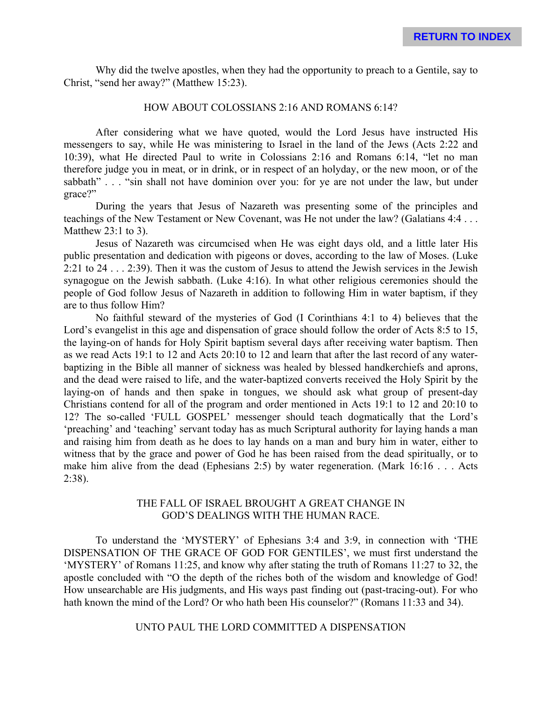Why did the twelve apostles, when they had the opportunity to preach to a Gentile, say to Christ, "send her away?" (Matthew 15:23).

# HOW ABOUT COLOSSIANS 2:16 AND ROMANS 6:14?

After considering what we have quoted, would the Lord Jesus have instructed His messengers to say, while He was ministering to Israel in the land of the Jews (Acts 2:22 and 10:39), what He directed Paul to write in Colossians 2:16 and Romans 6:14, "let no man therefore judge you in meat, or in drink, or in respect of an holyday, or the new moon, or of the sabbath" . . . "sin shall not have dominion over you: for ye are not under the law, but under grace?"

During the years that Jesus of Nazareth was presenting some of the principles and teachings of the New Testament or New Covenant, was He not under the law? (Galatians 4:4 . . . Matthew 23:1 to 3).

Jesus of Nazareth was circumcised when He was eight days old, and a little later His public presentation and dedication with pigeons or doves, according to the law of Moses. (Luke 2:21 to 24 . . . 2:39). Then it was the custom of Jesus to attend the Jewish services in the Jewish synagogue on the Jewish sabbath. (Luke 4:16). In what other religious ceremonies should the people of God follow Jesus of Nazareth in addition to following Him in water baptism, if they are to thus follow Him?

No faithful steward of the mysteries of God (I Corinthians 4:1 to 4) believes that the Lord's evangelist in this age and dispensation of grace should follow the order of Acts 8:5 to 15, the laying-on of hands for Holy Spirit baptism several days after receiving water baptism. Then as we read Acts 19:1 to 12 and Acts 20:10 to 12 and learn that after the last record of any waterbaptizing in the Bible all manner of sickness was healed by blessed handkerchiefs and aprons, and the dead were raised to life, and the water-baptized converts received the Holy Spirit by the laying-on of hands and then spake in tongues, we should ask what group of present-day Christians contend for all of the program and order mentioned in Acts 19:1 to 12 and 20:10 to 12? The so-called 'FULL GOSPEL' messenger should teach dogmatically that the Lord's 'preaching' and 'teaching' servant today has as much Scriptural authority for laying hands a man and raising him from death as he does to lay hands on a man and bury him in water, either to witness that by the grace and power of God he has been raised from the dead spiritually, or to make him alive from the dead (Ephesians 2:5) by water regeneration. (Mark 16:16 . . . Acts 2:38).

# THE FALL OF ISRAEL BROUGHT A GREAT CHANGE IN GOD'S DEALINGS WITH THE HUMAN RACE.

To understand the 'MYSTERY' of Ephesians 3:4 and 3:9, in connection with 'THE DISPENSATION OF THE GRACE OF GOD FOR GENTILES', we must first understand the 'MYSTERY' of Romans 11:25, and know why after stating the truth of Romans 11:27 to 32, the apostle concluded with "O the depth of the riches both of the wisdom and knowledge of God! How unsearchable are His judgments, and His ways past finding out (past-tracing-out). For who hath known the mind of the Lord? Or who hath been His counselor?" (Romans 11:33 and 34).

## UNTO PAUL THE LORD COMMITTED A DISPENSATION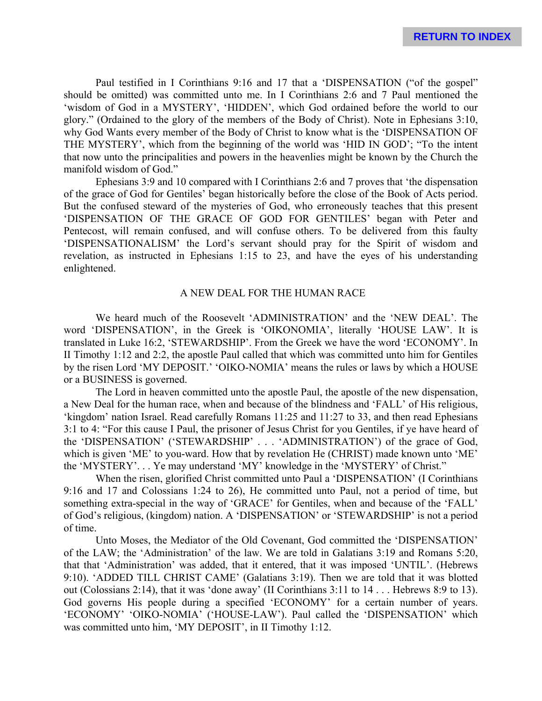Paul testified in I Corinthians 9:16 and 17 that a 'DISPENSATION ("of the gospel" should be omitted) was committed unto me. In I Corinthians 2:6 and 7 Paul mentioned the 'wisdom of God in a MYSTERY', 'HIDDEN', which God ordained before the world to our glory." (Ordained to the glory of the members of the Body of Christ). Note in Ephesians 3:10, why God Wants every member of the Body of Christ to know what is the 'DISPENSATION OF THE MYSTERY', which from the beginning of the world was 'HID IN GOD'; "To the intent that now unto the principalities and powers in the heavenlies might be known by the Church the manifold wisdom of God."

Ephesians 3:9 and 10 compared with I Corinthians 2:6 and 7 proves that 'the dispensation of the grace of God for Gentiles' began historically before the close of the Book of Acts period. But the confused steward of the mysteries of God, who erroneously teaches that this present 'DISPENSATION OF THE GRACE OF GOD FOR GENTILES' began with Peter and Pentecost, will remain confused, and will confuse others. To be delivered from this faulty 'DISPENSATIONALISM' the Lord's servant should pray for the Spirit of wisdom and revelation, as instructed in Ephesians 1:15 to 23, and have the eyes of his understanding enlightened.

# A NEW DEAL FOR THE HUMAN RACE

We heard much of the Roosevelt 'ADMINISTRATION' and the 'NEW DEAL'. The word 'DISPENSATION', in the Greek is 'OIKONOMIA', literally 'HOUSE LAW'. It is translated in Luke 16:2, 'STEWARDSHIP'. From the Greek we have the word 'ECONOMY'. In II Timothy 1:12 and 2:2, the apostle Paul called that which was committed unto him for Gentiles by the risen Lord 'MY DEPOSIT.' 'OIKO-NOMIA' means the rules or laws by which a HOUSE or a BUSINESS is governed.

The Lord in heaven committed unto the apostle Paul, the apostle of the new dispensation, a New Deal for the human race, when and because of the blindness and 'FALL' of His religious, 'kingdom' nation Israel. Read carefully Romans 11:25 and 11:27 to 33, and then read Ephesians 3:1 to 4: "For this cause I Paul, the prisoner of Jesus Christ for you Gentiles, if ye have heard of the 'DISPENSATION' ('STEWARDSHIP' . . . 'ADMINISTRATION') of the grace of God, which is given 'ME' to you-ward. How that by revelation He (CHRIST) made known unto 'ME' the 'MYSTERY'. . . Ye may understand 'MY' knowledge in the 'MYSTERY' of Christ."

When the risen, glorified Christ committed unto Paul a 'DISPENSATION' (I Corinthians 9:16 and 17 and Colossians 1:24 to 26), He committed unto Paul, not a period of time, but something extra-special in the way of 'GRACE' for Gentiles, when and because of the 'FALL' of God's religious, (kingdom) nation. A 'DISPENSATION' or 'STEWARDSHIP' is not a period of time.

Unto Moses, the Mediator of the Old Covenant, God committed the 'DISPENSATION' of the LAW; the 'Administration' of the law. We are told in Galatians 3:19 and Romans 5:20, that that 'Administration' was added, that it entered, that it was imposed 'UNTIL'. (Hebrews 9:10). 'ADDED TILL CHRIST CAME' (Galatians 3:19). Then we are told that it was blotted out (Colossians 2:14), that it was 'done away' (II Corinthians 3:11 to 14 . . . Hebrews 8:9 to 13). God governs His people during a specified 'ECONOMY' for a certain number of years. 'ECONOMY' 'OIKO-NOMIA' ('HOUSE-LAW'). Paul called the 'DISPENSATION' which was committed unto him, 'MY DEPOSIT', in II Timothy 1:12.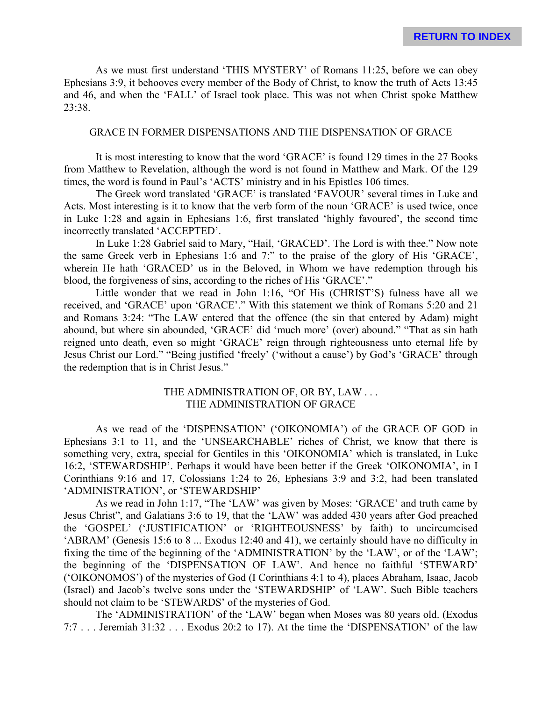As we must first understand 'THIS MYSTERY' of Romans 11:25, before we can obey Ephesians 3:9, it behooves every member of the Body of Christ, to know the truth of Acts 13:45 and 46, and when the 'FALL' of Israel took place. This was not when Christ spoke Matthew 23:38.

## GRACE IN FORMER DISPENSATIONS AND THE DISPENSATION OF GRACE

It is most interesting to know that the word 'GRACE' is found 129 times in the 27 Books from Matthew to Revelation, although the word is not found in Matthew and Mark. Of the 129 times, the word is found in Paul's 'ACTS' ministry and in his Epistles 106 times.

The Greek word translated 'GRACE' is translated 'FAVOUR' several times in Luke and Acts. Most interesting is it to know that the verb form of the noun 'GRACE' is used twice, once in Luke 1:28 and again in Ephesians 1:6, first translated 'highly favoured', the second time incorrectly translated 'ACCEPTED'.

In Luke 1:28 Gabriel said to Mary, "Hail, 'GRACED'. The Lord is with thee." Now note the same Greek verb in Ephesians 1:6 and 7:" to the praise of the glory of His 'GRACE', wherein He hath 'GRACED' us in the Beloved, in Whom we have redemption through his blood, the forgiveness of sins, according to the riches of His 'GRACE'."

Little wonder that we read in John 1:16, "Of His (CHRIST'S) fulness have all we received, and 'GRACE' upon 'GRACE'." With this statement we think of Romans 5:20 and 21 and Romans 3:24: "The LAW entered that the offence (the sin that entered by Adam) might abound, but where sin abounded, 'GRACE' did 'much more' (over) abound." "That as sin hath reigned unto death, even so might 'GRACE' reign through righteousness unto eternal life by Jesus Christ our Lord." "Being justified 'freely' ('without a cause') by God's 'GRACE' through the redemption that is in Christ Jesus."

# THE ADMINISTRATION OF, OR BY, LAW . . . THE ADMINISTRATION OF GRACE

As we read of the 'DISPENSATION' ('OIKONOMIA') of the GRACE OF GOD in Ephesians 3:1 to 11, and the 'UNSEARCHABLE' riches of Christ, we know that there is something very, extra, special for Gentiles in this 'OIKONOMIA' which is translated, in Luke 16:2, 'STEWARDSHIP'. Perhaps it would have been better if the Greek 'OIKONOMIA', in I Corinthians 9:16 and 17, Colossians 1:24 to 26, Ephesians 3:9 and 3:2, had been translated 'ADMINISTRATION', or 'STEWARDSHIP'

As we read in John 1:17, "The 'LAW' was given by Moses: 'GRACE' and truth came by Jesus Christ", and Galatians 3:6 to 19, that the 'LAW' was added 430 years after God preached the 'GOSPEL' ('JUSTIFICATION' or 'RIGHTEOUSNESS' by faith) to uncircumcised 'ABRAM' (Genesis 15:6 to 8 ... Exodus 12:40 and 41), we certainly should have no difficulty in fixing the time of the beginning of the 'ADMINISTRATION' by the 'LAW', or of the 'LAW'; the beginning of the 'DISPENSATION OF LAW'. And hence no faithful 'STEWARD' ('OIKONOMOS') of the mysteries of God (I Corinthians 4:1 to 4), places Abraham, Isaac, Jacob (Israel) and Jacob's twelve sons under the 'STEWARDSHIP' of 'LAW'. Such Bible teachers should not claim to be 'STEWARDS' of the mysteries of God.

The 'ADMINISTRATION' of the 'LAW' began when Moses was 80 years old. (Exodus 7:7 . . . Jeremiah 31:32 . . . Exodus 20:2 to 17). At the time the 'DISPENSATION' of the law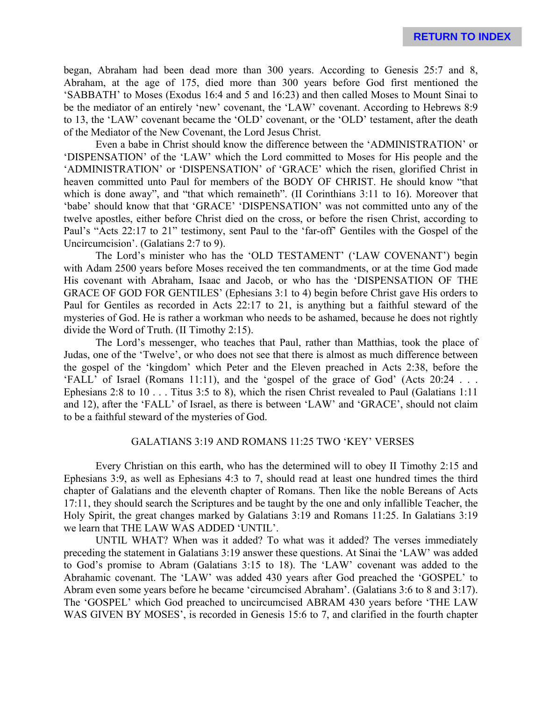began, Abraham had been dead more than 300 years. According to Genesis 25:7 and 8, Abraham, at the age of 175, died more than 300 years before God first mentioned the 'SABBATH' to Moses (Exodus 16:4 and 5 and 16:23) and then called Moses to Mount Sinai to be the mediator of an entirely 'new' covenant, the 'LAW' covenant. According to Hebrews 8:9 to 13, the 'LAW' covenant became the 'OLD' covenant, or the 'OLD' testament, after the death of the Mediator of the New Covenant, the Lord Jesus Christ.

Even a babe in Christ should know the difference between the 'ADMINISTRATION' or 'DISPENSATION' of the 'LAW' which the Lord committed to Moses for His people and the 'ADMINISTRATION' or 'DISPENSATION' of 'GRACE' which the risen, glorified Christ in heaven committed unto Paul for members of the BODY OF CHRIST. He should know "that which is done away", and "that which remaineth". (II Corinthians 3:11 to 16). Moreover that 'babe' should know that that 'GRACE' 'DISPENSATION' was not committed unto any of the twelve apostles, either before Christ died on the cross, or before the risen Christ, according to Paul's "Acts 22:17 to 21" testimony, sent Paul to the 'far-off' Gentiles with the Gospel of the Uncircumcision'. (Galatians 2:7 to 9).

The Lord's minister who has the 'OLD TESTAMENT' ('LAW COVENANT') begin with Adam 2500 years before Moses received the ten commandments, or at the time God made His covenant with Abraham, Isaac and Jacob, or who has the 'DISPENSATION OF THE GRACE OF GOD FOR GENTILES' (Ephesians 3:1 to 4) begin before Christ gave His orders to Paul for Gentiles as recorded in Acts 22:17 to 21, is anything but a faithful steward of the mysteries of God. He is rather a workman who needs to be ashamed, because he does not rightly divide the Word of Truth. (II Timothy 2:15).

The Lord's messenger, who teaches that Paul, rather than Matthias, took the place of Judas, one of the 'Twelve', or who does not see that there is almost as much difference between the gospel of the 'kingdom' which Peter and the Eleven preached in Acts 2:38, before the 'FALL' of Israel (Romans 11:11), and the 'gospel of the grace of God' (Acts 20:24 . . . Ephesians 2:8 to 10 . . . Titus 3:5 to 8), which the risen Christ revealed to Paul (Galatians 1:11 and 12), after the 'FALL' of Israel, as there is between 'LAW' and 'GRACE', should not claim to be a faithful steward of the mysteries of God.

# GALATIANS 3:19 AND ROMANS 11:25 TWO 'KEY' VERSES

Every Christian on this earth, who has the determined will to obey II Timothy 2:15 and Ephesians 3:9, as well as Ephesians 4:3 to 7, should read at least one hundred times the third chapter of Galatians and the eleventh chapter of Romans. Then like the noble Bereans of Acts 17:11, they should search the Scriptures and be taught by the one and only infallible Teacher, the Holy Spirit, the great changes marked by Galatians 3:19 and Romans 11:25. In Galatians 3:19 we learn that THE LAW WAS ADDED 'UNTIL'.

UNTIL WHAT? When was it added? To what was it added? The verses immediately preceding the statement in Galatians 3:19 answer these questions. At Sinai the 'LAW' was added to God's promise to Abram (Galatians 3:15 to 18). The 'LAW' covenant was added to the Abrahamic covenant. The 'LAW' was added 430 years after God preached the 'GOSPEL' to Abram even some years before he became 'circumcised Abraham'. (Galatians 3:6 to 8 and 3:17). The 'GOSPEL' which God preached to uncircumcised ABRAM 430 years before 'THE LAW WAS GIVEN BY MOSES', is recorded in Genesis 15:6 to 7, and clarified in the fourth chapter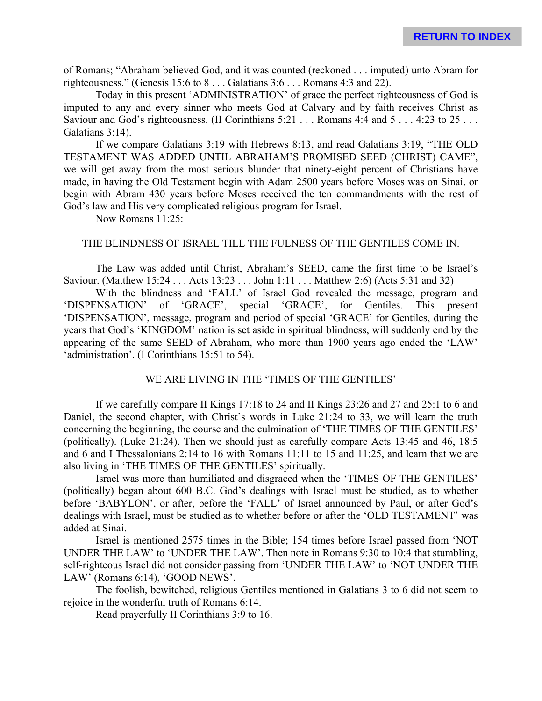of Romans; "Abraham believed God, and it was counted (reckoned . . . imputed) unto Abram for righteousness." (Genesis 15:6 to 8 . . . Galatians 3:6 . . . Romans 4:3 and 22).

Today in this present 'ADMINISTRATION' of grace the perfect righteousness of God is imputed to any and every sinner who meets God at Calvary and by faith receives Christ as Saviour and God's righteousness. (II Corinthians 5:21 . . . Romans 4:4 and 5 . . . 4:23 to 25 . . . Galatians 3:14).

If we compare Galatians 3:19 with Hebrews 8:13, and read Galatians 3:19, "THE OLD TESTAMENT WAS ADDED UNTIL ABRAHAM'S PROMISED SEED (CHRIST) CAME", we will get away from the most serious blunder that ninety-eight percent of Christians have made, in having the Old Testament begin with Adam 2500 years before Moses was on Sinai, or begin with Abram 430 years before Moses received the ten commandments with the rest of God's law and His very complicated religious program for Israel.

Now Romans 11:25:

# THE BLINDNESS OF ISRAEL TILL THE FULNESS OF THE GENTILES COME IN.

The Law was added until Christ, Abraham's SEED, came the first time to be Israel's Saviour. (Matthew 15:24 . . . Acts 13:23 . . . John 1:11 . . . Matthew 2:6) (Acts 5:31 and 32)

With the blindness and 'FALL' of Israel God revealed the message, program and 'DISPENSATION' of 'GRACE', special 'GRACE', for Gentiles. This present 'DISPENSATION', message, program and period of special 'GRACE' for Gentiles, during the years that God's 'KINGDOM' nation is set aside in spiritual blindness, will suddenly end by the appearing of the same SEED of Abraham, who more than 1900 years ago ended the 'LAW' 'administration'. (I Corinthians 15:51 to 54).

# WE ARE LIVING IN THE 'TIMES OF THE GENTILES'

If we carefully compare II Kings 17:18 to 24 and II Kings 23:26 and 27 and 25:1 to 6 and Daniel, the second chapter, with Christ's words in Luke 21:24 to 33, we will learn the truth concerning the beginning, the course and the culmination of 'THE TIMES OF THE GENTILES' (politically). (Luke 21:24). Then we should just as carefully compare Acts 13:45 and 46, 18:5 and 6 and I Thessalonians 2:14 to 16 with Romans 11:11 to 15 and 11:25, and learn that we are also living in 'THE TIMES OF THE GENTILES' spiritually.

Israel was more than humiliated and disgraced when the 'TIMES OF THE GENTILES' (politically) began about 600 B.C. God's dealings with Israel must be studied, as to whether before 'BABYLON', or after, before the 'FALL' of Israel announced by Paul, or after God's dealings with Israel, must be studied as to whether before or after the 'OLD TESTAMENT' was added at Sinai.

Israel is mentioned 2575 times in the Bible; 154 times before Israel passed from 'NOT UNDER THE LAW' to 'UNDER THE LAW'. Then note in Romans 9:30 to 10:4 that stumbling, self-righteous Israel did not consider passing from 'UNDER THE LAW' to 'NOT UNDER THE LAW' (Romans 6:14), 'GOOD NEWS'.

The foolish, bewitched, religious Gentiles mentioned in Galatians 3 to 6 did not seem to rejoice in the wonderful truth of Romans 6:14.

Read prayerfully II Corinthians 3:9 to 16.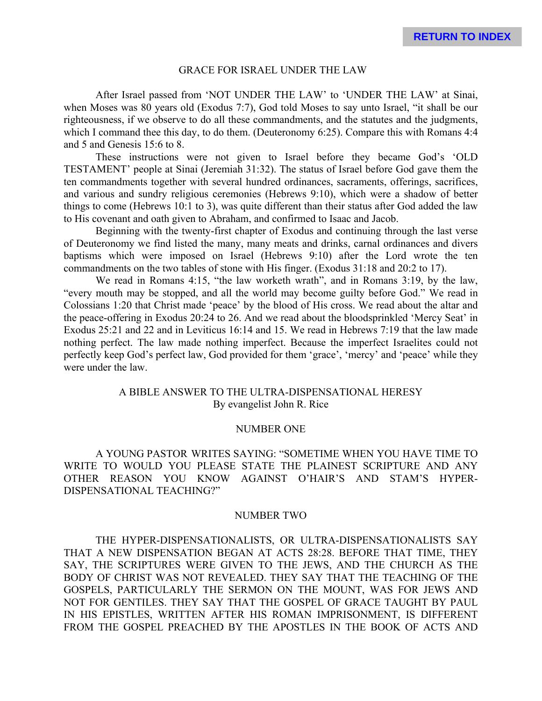#### GRACE FOR ISRAEL UNDER THE LAW

After Israel passed from 'NOT UNDER THE LAW' to 'UNDER THE LAW' at Sinai, when Moses was 80 years old (Exodus 7:7), God told Moses to say unto Israel, "it shall be our righteousness, if we observe to do all these commandments, and the statutes and the judgments, which I command thee this day, to do them. (Deuteronomy 6:25). Compare this with Romans 4:4 and 5 and Genesis 15:6 to 8.

These instructions were not given to Israel before they became God's 'OLD TESTAMENT' people at Sinai (Jeremiah 31:32). The status of Israel before God gave them the ten commandments together with several hundred ordinances, sacraments, offerings, sacrifices, and various and sundry religious ceremonies (Hebrews 9:10), which were a shadow of better things to come (Hebrews 10:1 to 3), was quite different than their status after God added the law to His covenant and oath given to Abraham, and confirmed to Isaac and Jacob.

Beginning with the twenty-first chapter of Exodus and continuing through the last verse of Deuteronomy we find listed the many, many meats and drinks, carnal ordinances and divers baptisms which were imposed on Israel (Hebrews 9:10) after the Lord wrote the ten commandments on the two tables of stone with His finger. (Exodus 31:18 and 20:2 to 17).

We read in Romans 4:15, "the law worketh wrath", and in Romans 3:19, by the law, "every mouth may be stopped, and all the world may become guilty before God." We read in Colossians 1:20 that Christ made 'peace' by the blood of His cross. We read about the altar and the peace-offering in Exodus 20:24 to 26. And we read about the bloodsprinkled 'Mercy Seat' in Exodus 25:21 and 22 and in Leviticus 16:14 and 15. We read in Hebrews 7:19 that the law made nothing perfect. The law made nothing imperfect. Because the imperfect Israelites could not perfectly keep God's perfect law, God provided for them 'grace', 'mercy' and 'peace' while they were under the law.

# A BIBLE ANSWER TO THE ULTRA-DISPENSATIONAL HERESY By evangelist John R. Rice

#### NUMBER ONE

A YOUNG PASTOR WRITES SAYING: "SOMETIME WHEN YOU HAVE TIME TO WRITE TO WOULD YOU PLEASE STATE THE PLAINEST SCRIPTURE AND ANY OTHER REASON YOU KNOW AGAINST O'HAIR'S AND STAM'S HYPER-DISPENSATIONAL TEACHING?"

#### NUMBER TWO

THE HYPER-DISPENSATIONALISTS, OR ULTRA-DISPENSATIONALISTS SAY THAT A NEW DISPENSATION BEGAN AT ACTS 28:28. BEFORE THAT TIME, THEY SAY, THE SCRIPTURES WERE GIVEN TO THE JEWS, AND THE CHURCH AS THE BODY OF CHRIST WAS NOT REVEALED. THEY SAY THAT THE TEACHING OF THE GOSPELS, PARTICULARLY THE SERMON ON THE MOUNT, WAS FOR JEWS AND NOT FOR GENTILES. THEY SAY THAT THE GOSPEL OF GRACE TAUGHT BY PAUL IN HIS EPISTLES, WRITTEN AFTER HIS ROMAN IMPRISONMENT, IS DIFFERENT FROM THE GOSPEL PREACHED BY THE APOSTLES IN THE BOOK OF ACTS AND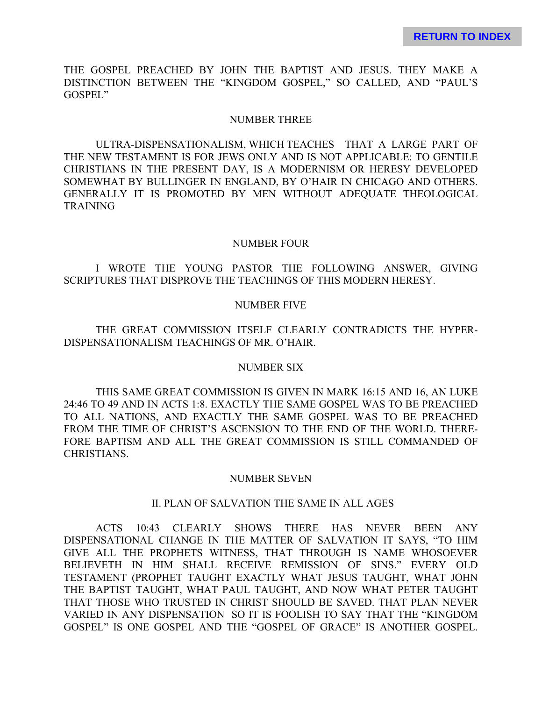THE GOSPEL PREACHED BY JOHN THE BAPTIST AND JESUS. THEY MAKE A DISTINCTION BETWEEN THE "KINGDOM GOSPEL," SO CALLED, AND "PAUL'S GOSPEL"

## NUMBER THREE

ULTRA-DISPENSATIONALISM, WHICH TEACHES THAT A LARGE PART OF THE NEW TESTAMENT IS FOR JEWS ONLY AND IS NOT APPLICABLE: TO GENTILE CHRISTIANS IN THE PRESENT DAY, IS A MODERNISM OR HERESY DEVELOPED SOMEWHAT BY BULLINGER IN ENGLAND, BY O'HAIR IN CHICAGO AND OTHERS. GENERALLY IT IS PROMOTED BY MEN WITHOUT ADEQUATE THEOLOGICAL TRAINING

## NUMBER FOUR

I WROTE THE YOUNG PASTOR THE FOLLOWING ANSWER, GIVING SCRIPTURES THAT DISPROVE THE TEACHINGS OF THIS MODERN HERESY.

## NUMBER FIVE

THE GREAT COMMISSION ITSELF CLEARLY CONTRADICTS THE HYPER-DISPENSATIONALISM TEACHINGS OF MR. O'HAIR.

#### NUMBER SIX

THIS SAME GREAT COMMISSION IS GIVEN IN MARK 16:15 AND 16, AN LUKE 24:46 TO 49 AND IN ACTS 1:8. EXACTLY THE SAME GOSPEL WAS TO BE PREACHED TO ALL NATIONS, AND EXACTLY THE SAME GOSPEL WAS TO BE PREACHED FROM THE TIME OF CHRIST'S ASCENSION TO THE END OF THE WORLD. THERE-FORE BAPTISM AND ALL THE GREAT COMMISSION IS STILL COMMANDED OF CHRISTIANS.

#### NUMBER SEVEN

# II. PLAN OF SALVATION THE SAME IN ALL AGES

ACTS 10:43 CLEARLY SHOWS THERE HAS NEVER BEEN ANY DISPENSATIONAL CHANGE IN THE MATTER OF SALVATION IT SAYS, "TO HIM GIVE ALL THE PROPHETS WITNESS, THAT THROUGH IS NAME WHOSOEVER BELIEVETH IN HIM SHALL RECEIVE REMISSION OF SINS." EVERY OLD TESTAMENT (PROPHET TAUGHT EXACTLY WHAT JESUS TAUGHT, WHAT JOHN THE BAPTIST TAUGHT, WHAT PAUL TAUGHT, AND NOW WHAT PETER TAUGHT THAT THOSE WHO TRUSTED IN CHRIST SHOULD BE SAVED. THAT PLAN NEVER VARIED IN ANY DISPENSATION SO IT IS FOOLISH TO SAY THAT THE "KINGDOM GOSPEL" IS ONE GOSPEL AND THE "GOSPEL OF GRACE" IS ANOTHER GOSPEL.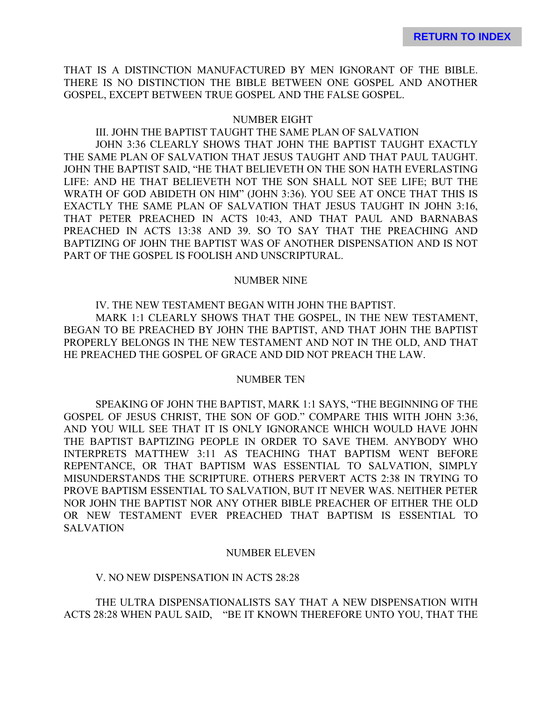THAT IS A DISTINCTION MANUFACTURED BY MEN IGNORANT OF THE BIBLE. THERE IS NO DISTINCTION THE BIBLE BETWEEN ONE GOSPEL AND ANOTHER GOSPEL, EXCEPT BETWEEN TRUE GOSPEL AND THE FALSE GOSPEL.

#### NUMBER EIGHT

III. JOHN THE BAPTIST TAUGHT THE SAME PLAN OF SALVATION JOHN 3:36 CLEARLY SHOWS THAT JOHN THE BAPTIST TAUGHT EXACTLY THE SAME PLAN OF SALVATION THAT JESUS TAUGHT AND THAT PAUL TAUGHT. JOHN THE BAPTIST SAID, "HE THAT BELIEVETH ON THE SON HATH EVERLASTING LIFE: AND HE THAT BELIEVETH NOT THE SON SHALL NOT SEE LIFE; BUT THE WRATH OF GOD ABIDETH ON HIM" (JOHN 3:36). YOU SEE AT ONCE THAT THIS IS EXACTLY THE SAME PLAN OF SALVATION THAT JESUS TAUGHT IN JOHN 3:16, THAT PETER PREACHED IN ACTS 10:43, AND THAT PAUL AND BARNABAS PREACHED IN ACTS 13:38 AND 39. SO TO SAY THAT THE PREACHING AND BAPTIZING OF JOHN THE BAPTIST WAS OF ANOTHER DISPENSATION AND IS NOT PART OF THE GOSPEL IS FOOLISH AND UNSCRIPTURAL.

#### NUMBER NINE

IV. THE NEW TESTAMENT BEGAN WITH JOHN THE BAPTIST.

MARK 1:1 CLEARLY SHOWS THAT THE GOSPEL, IN THE NEW TESTAMENT, BEGAN TO BE PREACHED BY JOHN THE BAPTIST, AND THAT JOHN THE BAPTIST PROPERLY BELONGS IN THE NEW TESTAMENT AND NOT IN THE OLD, AND THAT HE PREACHED THE GOSPEL OF GRACE AND DID NOT PREACH THE LAW.

#### NUMBER TEN

SPEAKING OF JOHN THE BAPTIST, MARK 1:1 SAYS, "THE BEGINNING OF THE GOSPEL OF JESUS CHRIST, THE SON OF GOD." COMPARE THIS WITH JOHN 3:36, AND YOU WILL SEE THAT IT IS ONLY IGNORANCE WHICH WOULD HAVE JOHN THE BAPTIST BAPTIZING PEOPLE IN ORDER TO SAVE THEM. ANYBODY WHO INTERPRETS MATTHEW 3:11 AS TEACHING THAT BAPTISM WENT BEFORE REPENTANCE, OR THAT BAPTISM WAS ESSENTIAL TO SALVATION, SIMPLY MISUNDERSTANDS THE SCRIPTURE. OTHERS PERVERT ACTS 2:38 IN TRYING TO PROVE BAPTISM ESSENTIAL TO SALVATION, BUT IT NEVER WAS. NEITHER PETER NOR JOHN THE BAPTIST NOR ANY OTHER BIBLE PREACHER OF EITHER THE OLD OR NEW TESTAMENT EVER PREACHED THAT BAPTISM IS ESSENTIAL TO SALVATION

#### NUMBER ELEVEN

### V. NO NEW DISPENSATION IN ACTS 28:28

# THE ULTRA DISPENSATIONALISTS SAY THAT A NEW DISPENSATION WITH ACTS 28:28 WHEN PAUL SAID, "BE IT KNOWN THEREFORE UNTO YOU, THAT THE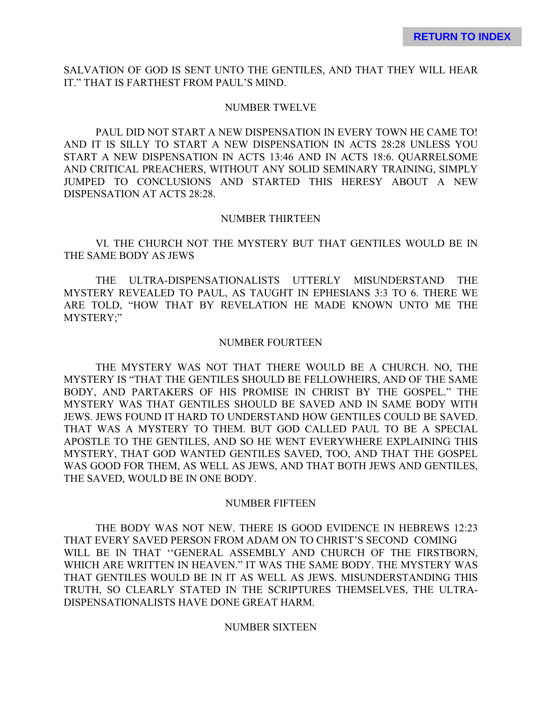SALVATION OF GOD IS SENT UNTO THE GENTILES, AND THAT THEY WILL HEAR IT." THAT IS FARTHEST FROM PAUL'S MIND.

#### NUMBER TWELVE

PAUL DID NOT START A NEW DISPENSATION IN EVERY TOWN HE CAME TO! AND IT IS SILLY TO START A NEW DISPENSATION IN ACTS 28:28 UNLESS YOU START A NEW DISPENSATION IN ACTS 13:46 AND IN ACTS 18:6. QUARRELSOME AND CRITICAL PREACHERS, WITHOUT ANY SOLID SEMINARY TRAINING, SIMPLY JUMPED TO CONCLUSIONS AND STARTED THIS HERESY ABOUT A NEW DISPENSATION AT ACTS 28:28.

### NUMBER THIRTEEN

VI. THE CHURCH NOT THE MYSTERY BUT THAT GENTILES WOULD BE IN THE SAME BODY AS JEWS

THE ULTRA-DISPENSATIONALISTS UTTERLY MISUNDERSTAND THE MYSTERY REVEALED TO PAUL, AS TAUGHT IN EPHESIANS 3:3 TO 6. THERE WE ARE TOLD, "HOW THAT BY REVELATION HE MADE KNOWN UNTO ME THE MYSTERY;"

#### NUMBER FOURTEEN

THE MYSTERY WAS NOT THAT THERE WOULD BE A CHURCH. NO, THE MYSTERY IS "THAT THE GENTILES SHOULD BE FELLOWHEIRS, AND OF THE SAME BODY, AND PARTAKERS OF HIS PROMISE IN CHRIST BY THE GOSPEL." THE MYSTERY WAS THAT GENTILES SHOULD BE SAVED AND IN SAME BODY WITH JEWS. JEWS FOUND IT HARD TO UNDERSTAND HOW GENTILES COULD BE SAVED. THAT WAS A MYSTERY TO THEM. BUT GOD CALLED PAUL TO BE A SPECIAL APOSTLE TO THE GENTILES, AND SO HE WENT EVERYWHERE EXPLAINING THIS MYSTERY, THAT GOD WANTED GENTILES SAVED, TOO, AND THAT THE GOSPEL WAS GOOD FOR THEM, AS WELL AS JEWS, AND THAT BOTH JEWS AND GENTILES, THE SAVED, WOULD BE IN ONE BODY.

#### NUMBER FIFTEEN

THE BODY WAS NOT NEW. THERE IS GOOD EVIDENCE IN HEBREWS 12:23 THAT EVERY SAVED PERSON FROM ADAM ON TO CHRIST'S SECOND COMING WILL BE IN THAT ''GENERAL ASSEMBLY AND CHURCH OF THE FIRSTBORN, WHICH ARE WRITTEN IN HEAVEN." IT WAS THE SAME BODY. THE MYSTERY WAS THAT GENTILES WOULD BE IN IT AS WELL AS JEWS. MISUNDERSTANDING THIS TRUTH, SO CLEARLY STATED IN THE SCRIPTURES THEMSELVES, THE ULTRA-DISPENSATIONALISTS HAVE DONE GREAT HARM.

#### NUMBER SIXTEEN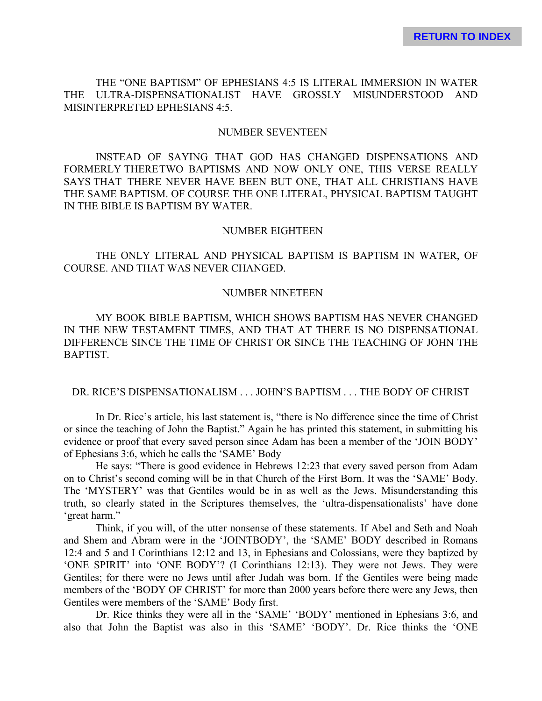THE "ONE BAPTISM" OF EPHESIANS 4:5 IS LITERAL IMMERSION IN WATER THE ULTRA-DISPENSATIONALIST HAVE GROSSLY MISUNDERSTOOD AND MISINTERPRETED EPHESIANS 4:5.

#### NUMBER SEVENTEEN

INSTEAD OF SAYING THAT GOD HAS CHANGED DISPENSATIONS AND FORMERLY THERETWO BAPTISMS AND NOW ONLY ONE, THIS VERSE REALLY SAYS THAT THERE NEVER HAVE BEEN BUT ONE, THAT ALL CHRISTIANS HAVE THE SAME BAPTISM. OF COURSE THE ONE LITERAL, PHYSICAL BAPTISM TAUGHT IN THE BIBLE IS BAPTISM BY WATER.

# NUMBER EIGHTEEN

THE ONLY LITERAL AND PHYSICAL BAPTISM IS BAPTISM IN WATER, OF COURSE. AND THAT WAS NEVER CHANGED.

# NUMBER NINETEEN

MY BOOK BIBLE BAPTISM, WHICH SHOWS BAPTISM HAS NEVER CHANGED IN THE NEW TESTAMENT TIMES, AND THAT AT THERE IS NO DISPENSATIONAL DIFFERENCE SINCE THE TIME OF CHRIST OR SINCE THE TEACHING OF JOHN THE BAPTIST.

### DR. RICE'S DISPENSATIONALISM . . . JOHN'S BAPTISM . . . THE BODY OF CHRIST

In Dr. Rice's article, his last statement is, "there is No difference since the time of Christ or since the teaching of John the Baptist." Again he has printed this statement, in submitting his evidence or proof that every saved person since Adam has been a member of the 'JOIN BODY' of Ephesians 3:6, which he calls the 'SAME' Body

He says: "There is good evidence in Hebrews 12:23 that every saved person from Adam on to Christ's second coming will be in that Church of the First Born. It was the 'SAME' Body. The 'MYSTERY' was that Gentiles would be in as well as the Jews. Misunderstanding this truth, so clearly stated in the Scriptures themselves, the 'ultra-dispensationalists' have done 'great harm."

Think, if you will, of the utter nonsense of these statements. If Abel and Seth and Noah and Shem and Abram were in the 'JOINTBODY', the 'SAME' BODY described in Romans 12:4 and 5 and I Corinthians 12:12 and 13, in Ephesians and Colossians, were they baptized by 'ONE SPIRIT' into 'ONE BODY'? (I Corinthians 12:13). They were not Jews. They were Gentiles; for there were no Jews until after Judah was born. If the Gentiles were being made members of the 'BODY OF CHRIST' for more than 2000 years before there were any Jews, then Gentiles were members of the 'SAME' Body first.

Dr. Rice thinks they were all in the 'SAME' 'BODY' mentioned in Ephesians 3:6, and also that John the Baptist was also in this 'SAME' 'BODY'. Dr. Rice thinks the 'ONE